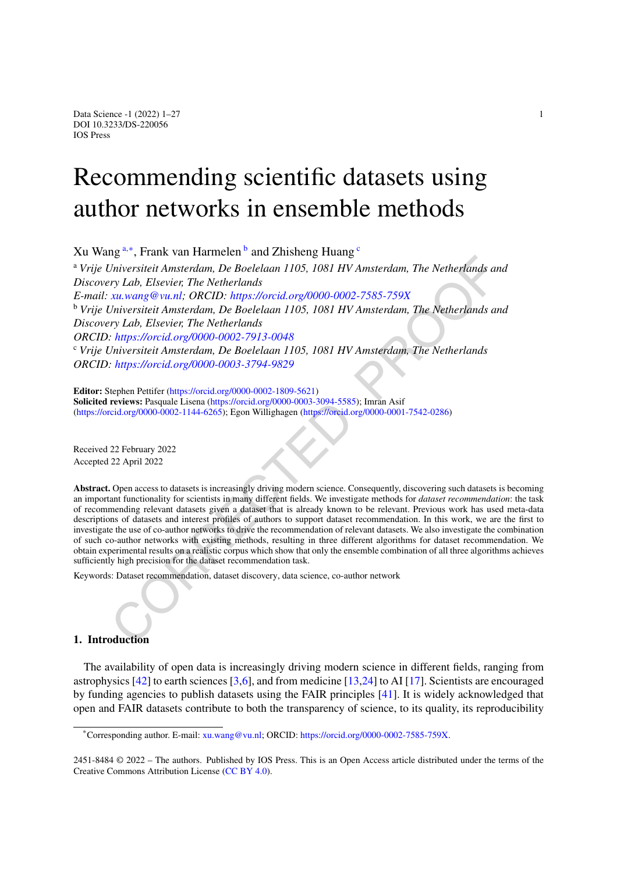# Recommending scientific datasets using author networks in ensemble methods

<span id="page-0-0"></span>Xu W[a](#page-0-0)ng<sup>a,[∗](#page-0-1)</sup>, Frank van Harmelen<sup>[b](#page-0-2)</sup> and Zhisheng Huang<sup>[c](#page-0-3)</sup>

<span id="page-0-2"></span>Lation that the transition of the Boelelaan 1105, 1081 HV Amsterdam, The Netherlands and<br>
Environment and the Reference of the Netherlands<br>
Environment and the Reference of the Netherlands<br>
Environment (South the Dente Ma <sup>a</sup> *Vrije Universiteit Amsterdam, De Boelelaan 1105, 1081 HV Amsterdam, The Netherlands and Discovery Lab, Elsevier, The Netherlands E-mail: xu.wang@vu.nl; ORCID: https://orcid.org/0000-0002-7585-759X* <sup>b</sup> *Vrije Universiteit Amsterdam, De Boelelaan 1105, 1081 HV Amsterdam, The Netherlands and Discovery Lab, Elsevier, The Netherlands ORCID: https://orcid.org/0000-0002-7913-0048* <sup>c</sup> *Vrije Universiteit Amsterdam, De Boelelaan 1105, 1081 HV Amsterdam, The Netherlands ORCID: https://orcid.org/0000-0003-3794-9829*

<span id="page-0-3"></span>**Editor:** Stephen Pettifer (https://orcid.org/0000-0002-1809-5621) **Solicited reviews:** Pasquale Lisena (https://orcid.org/0000-0003-3094-5585); Imran Asif (<https://orcid.org/0000-0002-1144-6265>); Egon Willighagen (https://orcid.org/0000-0001-7542-0286)

Received 22 February 2022 Accepted 22 April 2022

**Abstract.** Open access to datasets is increasingly driving modern science. Consequently, discovering such datasets is becoming an important functionality for scientists in many different fields. We investigate methods for *dataset recommendation*: the task of recommending relevant datasets given a dataset that is already known to be relevant. Previous work has used meta-data descriptions of datasets and interest profiles of authors to support dataset recommendation. In this work, we are the first to investigate the use of co-author networks to drive the recommendation of relevant datasets. We also investigate the combination of such co-author networks with existing methods, resulting in three different algorithms for dataset recommendation. We obtain experimental results on a realistic corpus which show that only the ensemble combination of all three algorithms achieves sufficiently high precision for the dataset recommendation task.

Keywords: Dataset recommendation, dataset discovery, data science, co-author network

#### **1. Introduction**

The availability of open data is increasingly driving modern science in different fields, ranging from astrophysics [[42\]](#page-26-0) to earth sciences [\[3](#page-24-0)[,6](#page-24-1)], and from medicine [\[13](#page-25-0)[,24](#page-25-1)] to AI [\[17](#page-25-2)]. Scientists are encouraged by funding agencies to publish datasets using the FAIR principles [\[41](#page-26-1)]. It is widely acknowledged that open and FAIR datasets contribute to both the transparency of science, to its quality, its reproducibility

<span id="page-0-1"></span><sup>\*</sup>Corresponding author. E-mail: [xu.wang@vu.nl](mailto:xu.wang@vu.nl); ORCID: <https://orcid.org/0000-0002-7585-759X>.

<sup>2451-8484</sup> © 2022 – The authors. Published by IOS Press. This is an Open Access article distributed under the terms of the Creative Commons Attribution License (CC [BY](https://creativecommons.org/licenses/by/4.0/) 4.0).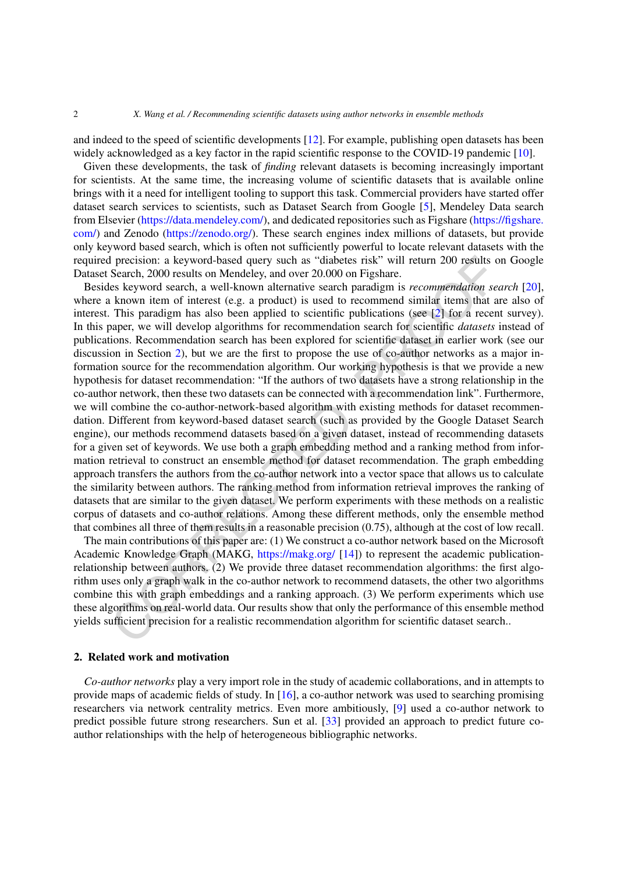and indeed to the speed of scientific developments [\[12](#page-25-3)]. For example, publishing open datasets has been widely acknowledged as a key factor in the rapid scientific response to the COVID-19 pandemic [\[10](#page-24-2)].

Given these developments, the task of *finding* relevant datasets is becoming increasingly important for scientists. At the same time, the increasing volume of scientific datasets that is available online brings with it a need for intelligent tooling to support this task. Commercial providers have started offer dataset search services to scientists, such as Dataset Search from Google [\[5\]](#page-24-3), Mendeley Data search from Elsevier [\(https://data.mendeley.com/\)](https://data.mendeley.com/), and dedicated repositories such as Figshare [\(https://figshare.](https://figshare.com/) [com/\)](https://figshare.com/) and Zenodo ([https://zenodo.org/\)](https://zenodo.org/). These search engines index millions of datasets, but provide only keyword based search, which is often not sufficiently powerful to locate relevant datasets with the required precision: a keyword-based query such as "diabetes risk" will return 200 results on Google Dataset Search, 2000 results on Mendeley, and over 20.000 on Figshare.

I precision: a keyword-based query such as "diabetes risk" will return 200 results of<br>Search, 2000 results on Mendeley, and over 20.000 on Figshare.<br>
Search, 2000 results on Search and Wendeley, and over 20.000 on Figshare Besides keyword search, a well-known alternative search paradigm is *recommendation search* [\[20](#page-25-4)], where a known item of interest (e.g. a product) is used to recommend similar items that are also of interest. This paradigm has also been applied to scientific publications (see [2] for a recent survey). In this paper, we will develop algorithms for recommendation search for scientific *datasets* instead of publications. Recommendation search has been explored for scientific dataset in earlier work (see our discussion in Section 2), but we are the first to propose the use of co-author networks as a major information source for the recommendation algorithm. Our working hypothesis is that we provide a new hypothesis for dataset recommendation: "If the authors of two datasets have a strong relationship in the co-author network, then these two datasets can be connected with a recommendation link". Furthermore, we will combine the co-author-network-based algorithm with existing methods for dataset recommendation. Different from keyword-based dataset search (such as provided by the Google Dataset Search engine), our methods recommend datasets based on a given dataset, instead of recommending datasets for a given set of keywords. We use both a graph embedding method and a ranking method from information retrieval to construct an ensemble method for dataset recommendation. The graph embedding approach transfers the authors from the co-author network into a vector space that allows us to calculate the similarity between authors. The ranking method from information retrieval improves the ranking of datasets that are similar to the given dataset. We perform experiments with these methods on a realistic corpus of datasets and co-author relations. Among these different methods, only the ensemble method that combines all three of them results in a reasonable precision (0.75), although at the cost of low recall.

The main contributions of this paper are: (1) We construct a co-author network based on the Microsoft Academic Knowledge Graph (MAKG, https://makg.org/ [14]) to represent the academic publicationrelationship between authors. (2) We provide three dataset recommendation algorithms: the first algorithm uses only a graph walk in the co-author network to recommend datasets, the other two algorithms combine this with graph embeddings and a ranking approach. (3) We perform experiments which use these algorithms on real-world data. Our results show that only the performance of this ensemble method yields sufficient precision for a realistic recommendation algorithm for scientific dataset search..

#### <span id="page-1-0"></span>**2. Related work and motivation**

*Co-author networks* play a very import role in the study of academic collaborations, and in attempts to provide maps of academic fields of study. In [\[16](#page-25-6)], a co-author network was used to searching promising researchers via network centrality metrics. Even more ambitiously, [\[9](#page-24-5)] used a co-author network to predict possible future strong researchers. Sun et al. [[33\]](#page-26-2) provided an approach to predict future coauthor relationships with the help of heterogeneous bibliographic networks.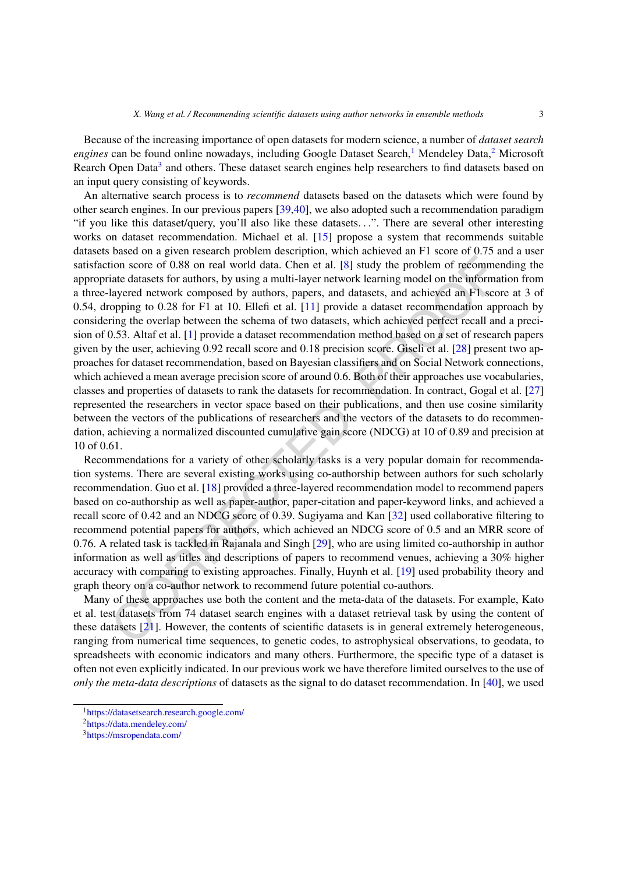Because of the increasing importance of open datasets for modern science, a number of *dataset search engines* can be found online nowadays, including Google Dataset Search,<sup>1</sup> Mendeley Data,<sup>[2](#page-2-1)</sup> Microsoft Rearch Open Data<sup>3</sup> and others. These dataset search engines help researchers to find datasets based on an input query consisting of keywords.

ion score of 0.88 on real world data. Chen et al. [8] study the problem of recommential eduates for authority by using a multi-layer network learning model on the information layered network composed by authors, papers, a An alternative search process is to *recommend* datasets based on the datasets which were found by other search engines. In our previous papers [[39,](#page-26-3)[40](#page-26-4)], we also adopted such a recommendation paradigm "if you like this dataset/query, you'll also like these datasets*...*". There are several other interesting works on dataset recommendation. Michael et al. [[15\]](#page-25-7) propose a system that recommends suitable datasets based on a given research problem description, which achieved an F1 score of 0.75 and a user satisfaction score of 0.88 on real world data. Chen et al. [8] study the problem of recommending the appropriate datasets for authors, by using a multi-layer network learning model on the information from a three-layered network composed by authors, papers, and datasets, and achieved an F1 score at 3 of 0.54, dropping to 0.28 for F1 at 10. Ellefi et al. [11] provide a dataset recommendation approach by considering the overlap between the schema of two datasets, which achieved perfect recall and a precision of 0.53. Altaf et al. [1] provide a dataset recommendation method based on a set of research papers given by the user, achieving 0.92 recall score and 0.18 precision score. Giseli et al. [28] present two approaches for dataset recommendation, based on Bayesian classifiers and on Social Network connections, which achieved a mean average precision score of around 0.6. Both of their approaches use vocabularies, classes and properties of datasets to rank the datasets for recommendation. In contract, Gogal et al. [[27\]](#page-25-10) represented the researchers in vector space based on their publications, and then use cosine similarity between the vectors of the publications of researchers and the vectors of the datasets to do recommendation, achieving a normalized discounted cumulative gain score (NDCG) at 10 of 0.89 and precision at 10 of 0.61.

Recommendations for a variety of other scholarly tasks is a very popular domain for recommendation systems. There are several existing works using co-authorship between authors for such scholarly recommendation. Guo et al. [18] provided a three-layered recommendation model to recommend papers based on co-authorship as well as paper-author, paper-citation and paper-keyword links, and achieved a recall score of 0.42 and an NDCG score of 0.39. Sugiyama and Kan [32] used collaborative filtering to recommend potential papers for authors, which achieved an NDCG score of 0.5 and an MRR score of 0.76. A related task is tackled in Rajanala and Singh [29], who are using limited co-authorship in author information as well as titles and descriptions of papers to recommend venues, achieving a 30% higher accuracy with comparing to existing approaches. Finally, Huynh et al. [19] used probability theory and graph theory on a co-author network to recommend future potential co-authors.

Many of these approaches use both the content and the meta-data of the datasets. For example, Kato et al. test datasets from 74 dataset search engines with a dataset retrieval task by using the content of these datasets [21]. However, the contents of scientific datasets is in general extremely heterogeneous, ranging from numerical time sequences, to genetic codes, to astrophysical observations, to geodata, to spreadsheets with economic indicators and many others. Furthermore, the specific type of a dataset is often not even explicitly indicated. In our previous work we have therefore limited ourselves to the use of *only the meta-data descriptions* of datasets as the signal to do dataset recommendation. In [\[40](#page-26-4)], we used

<span id="page-2-0"></span><sup>1</sup><https://datasetsearch.research.google.com/>

<span id="page-2-1"></span><sup>2</sup><https://data.mendeley.com/>

<span id="page-2-2"></span><sup>3</sup><https://msropendata.com/>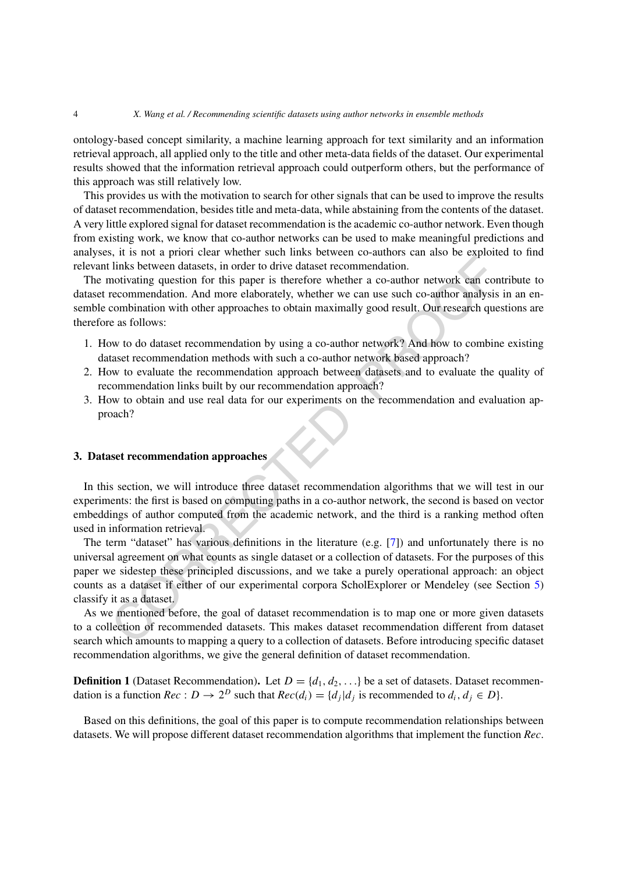ontology-based concept similarity, a machine learning approach for text similarity and an information retrieval approach, all applied only to the title and other meta-data fields of the dataset. Our experimental results showed that the information retrieval approach could outperform others, but the performance of this approach was still relatively low.

This provides us with the motivation to search for other signals that can be used to improve the results of dataset recommendation, besides title and meta-data, while abstaining from the contents of the dataset. A very little explored signal for dataset recommendation isthe academic co-author network. Even though from existing work, we know that co-author networks can be used to make meaningful predictions and analyses, it is not a priori clear whether such links between co-authors can also be exploited to find relevant links between datasets, in order to drive dataset recommendation.

The motivating question for this paper is therefore whether a co-author network can contribute to dataset recommendation. And more elaborately, whether we can use such co-author analysis in an ensemble combination with other approaches to obtain maximally good result. Our research questions are therefore as follows:

- 1. How to do dataset recommendation by using a co-author network? And how to combine existing dataset recommendation methods with such a co-author network based approach?
- 2. How to evaluate the recommendation approach between datasets and to evaluate the quality of recommendation links built by our recommendation approach?
- 3. How to obtain and use real data for our experiments on the recommendation and evaluation approach?

#### **3. Dataset recommendation approaches**

In this section, we will introduce three dataset recommendation algorithms that we will test in our experiments: the first is based on computing paths in a co-author network, the second is based on vector embeddings of author computed from the academic network, and the third is a ranking method often used in information retrieval.

A solid more priori of this between diatests, in order to drive diatest recommendation.<br>
Inks between diatests, in order to drive diatest recommendation.<br>
Inks between diatests, in order to drive diatest recommendation.<br>
C The term "dataset" has various definitions in the literature (e.g. [7]) and unfortunately there is no universal agreement on what counts as single dataset or a collection of datasets. For the purposes of this paper we sidestep these principled discussions, and we take a purely operational approach: an object counts as a dataset if either of our experimental corpora ScholExplorer or Mendeley (see Section [5\)](#page-10-0) classify it as a dataset.

As we mentioned before, the goal of dataset recommendation is to map one or more given datasets to a collection of recommended datasets. This makes dataset recommendation different from dataset search which amounts to mapping a query to a collection of datasets. Before introducing specific dataset recommendation algorithms, we give the general definition of dataset recommendation.

**Definition 1** (Dataset Recommendation). Let  $D = \{d_1, d_2, ...\}$  be a set of datasets. Dataset recommendation is a function *Rec* :  $D \rightarrow 2^D$  such that  $Rec(d_i) = \{d_i | d_i \text{ is recommended to } d_i, d_i \in D\}.$ 

Based on this definitions, the goal of this paper is to compute recommendation relationships between datasets. We will propose different dataset recommendation algorithms that implement the function *Rec*.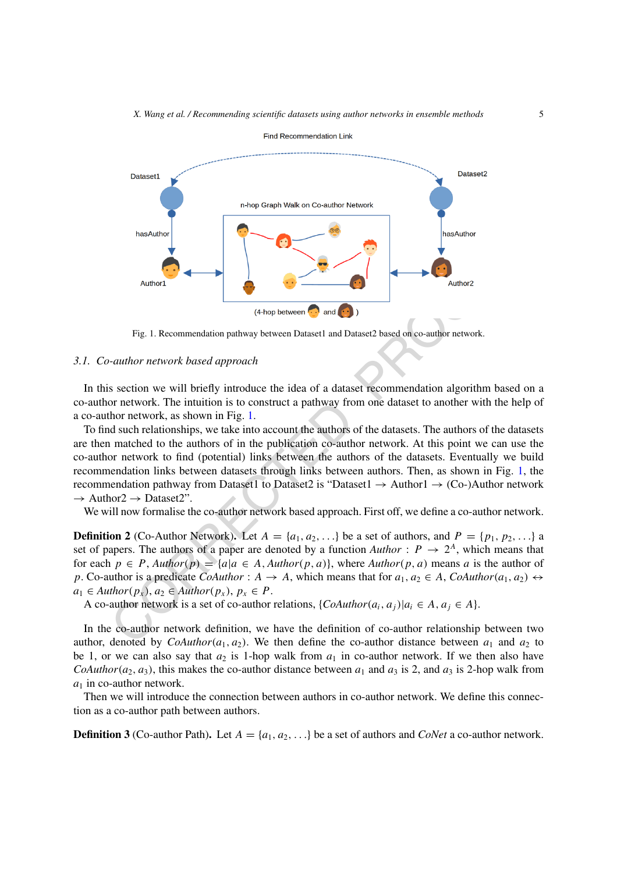

<span id="page-4-0"></span>Fig. 1. Recommendation pathway between Dataset1 and Dataset2 based on co-author network.

#### *3.1. Co-author network based approach*

In this section we will briefly introduce the idea of a dataset recommendation algorithm based on a co-author network. The intuition is to construct a pathway from one dataset to another with the help of a co-author network, as shown in Fig. 1.

Author!<br>
Fig. 1. Recommendation pathway between **O** and **C**)<br>
Fig. 1. Recommendation pathway between Dataset1 and Dataset2 based on co-author network.<br>
author network based approach<br>
author network based approach<br>
Section To find such relationships, we take into account the authors of the datasets. The authors of the datasets are then matched to the authors of in the publication co-author network. At this point we can use the co-author network to find (potential) links between the authors of the datasets. Eventually we build recommendation links between datasets through links between authors. Then, as shown in Fig. [1,](#page-4-0) the recommendation pathway from Dataset1 to Dataset2 is "Dataset1  $\rightarrow$  Author1  $\rightarrow$  (Co-)Author network  $\rightarrow$  Author2  $\rightarrow$  Dataset2".

We will now formalise the co-author network based approach. First off, we define a co-author network.

**Definition 2** (Co-Author Network). Let  $A = \{a_1, a_2, ...\}$  be a set of authors, and  $P = \{p_1, p_2, ...\}$  a set of papers. The authors of a paper are denoted by a function  $Author: P \rightarrow 2^A$ , which means that for each  $p \in P$ ,  $\text{Author}(p) = \{a|a \in A, \text{Author}(p, a)\}$ , where  $\text{Author}(p, a)$  means a is the author of *p*. Co-author is a predicate *CoAuthor* :  $A \rightarrow A$ , which means that for  $a_1, a_2 \in A$ , *CoAuthor* $(a_1, a_2) \leftrightarrow$  $a_1 \in$  *Author* $(p_x)$ ,  $a_2 \in$  *Author* $(p_x)$ ,  $p_x \in$  *P*.

A co-author network is a set of co-author relations,  $\{Cohuthor(a_i, a_j)|a_i \in A, a_i \in A\}$ .

In the co-author network definition, we have the definition of co-author relationship between two author, denoted by *CoAuthor*( $a_1, a_2$ ). We then define the co-author distance between  $a_1$  and  $a_2$  to be 1, or we can also say that  $a_2$  is 1-hop walk from  $a_1$  in co-author network. If we then also have *CoAuthor*( $a_2$ ,  $a_3$ ), this makes the co-author distance between  $a_1$  and  $a_3$  is 2, and  $a_3$  is 2-hop walk from  $a_1$  in co-author network.

Then we will introduce the connection between authors in co-author network. We define this connection as a co-author path between authors.

**Definition 3** (Co-author Path). Let  $A = \{a_1, a_2, ...\}$  be a set of authors and *CoNet* a co-author network.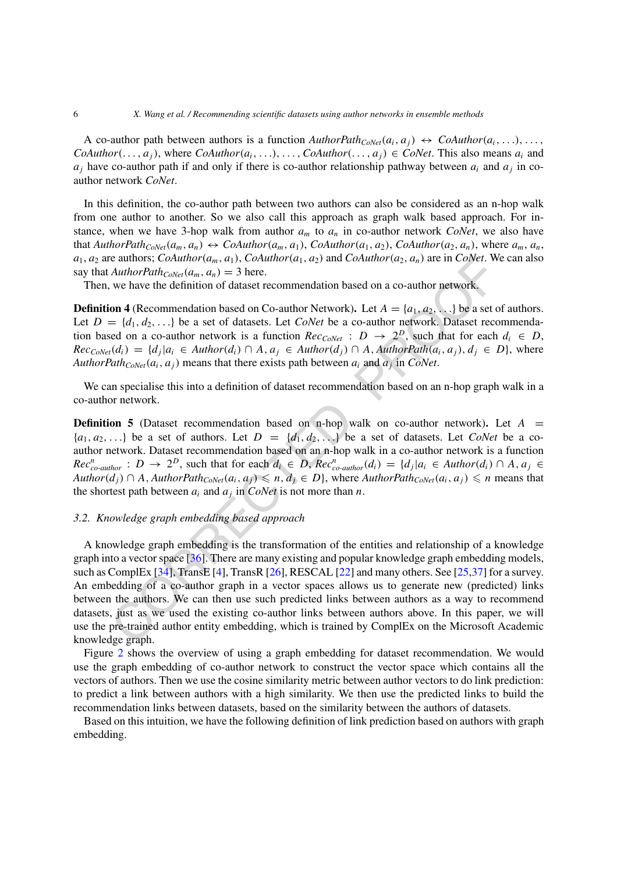A co-author path between authors is a function  $\text{AuthorPath}_{\text{CoNet}}(a_i, a_j) \leftrightarrow \text{CoAuthor}(a_i, \ldots), \ldots$ *CoAuthor* $(\ldots, a_i)$ , where *CoAuthor* $(a_i, \ldots), \ldots,$  *CoAuthor* $(\ldots, a_i) \in \text{CoNet}$ . This also means  $a_i$  and  $a_i$  have co-author path if and only if there is co-author relationship pathway between  $a_i$  and  $a_j$  in coauthor network *CoNet*.

In this definition, the co-author path between two authors can also be considered as an n-hop walk from one author to another. So we also call this approach as graph walk based approach. For instance, when we have 3-hop walk from author  $a_m$  to  $a_n$  in co-author network *CoNet*, we also have that *AuthorPath<sub>CoNet</sub>* $(a_m, a_n) \leftrightarrow CoAuthor(a_m, a_1)$ , *CoAuthor* $(a_1, a_2)$ , *CoAuthor* $(a_2, a_n)$ , where  $a_m, a_n$ ,  $a_1, a_2$  are authors; *CoAuthor* $(a_m, a_1)$ , *CoAuthor* $(a_1, a_2)$  and *CoAuthor* $(a_2, a_n)$  are in *CoNet*. We can also say that  $AuthorPath_{CoNet}(a_m, a_n) = 3$  here.

Then, we have the definition of dataset recommendation based on a co-author network.

**Definition 4** (Recommendation based on Co-author Network). Let  $A = \{a_1, a_2, ...\}$  be a set of authors. Let  $D = \{d_1, d_2, ...\}$  be a set of datasets. Let *CoNet* be a co-author network. Dataset recommendation based on a co-author network is a function  $Rec_{CoNet}$  :  $D \rightarrow 2^D$ , such that for each  $d_i \in D$ ,  $Rec_{Coker}(d_i) = \{d_i | a_i \in Author(d_i) \cap A, a_i \in Author(d_j) \cap A, AuthorPath(a_i, a_i), d_i \in D\}$ , where *AuthorPath<sub>CoNet</sub>* $(a_i, a_j)$  means that there exists path between  $a_i$  and  $a_j$  in *CoNet*.

We can specialise this into a definition of dataset recommendation based on an n-hop graph walk in a co-author network.

**Definition 5** (Dataset recommendation based on n-hop walk on co-author network). Let  $A =$  ${a_1, a_2,...}$  be a set of authors. Let  $D = {d_1, d_2,...}$  be a set of datasets. Let *CoNet* be a coauthor network. Dataset recommendation based on an n-hop walk in a co-author network is a function  $Rec_{co\text{-}author}^n : D \to 2^D$ , such that for each  $d_i \in D$ ,  $Rec_{co\text{-}author}^n(d_i) = \{d_j | a_i \in Author(d_i) \cap A, a_j \in D\}$ *Author* $(d_j)$  ∩ *A, AuthorPath<sub>CoNet</sub>* $(a_i, a_j)$  ≤ *n,*  $d_j$  ∈ *D*}, where *AuthorPath<sub>CoNet</sub>* $(a_i, a_j)$  ≤ *n* means that the shortest path between  $a_i$  and  $a_j$  in *CoNet* is not more than *n*.

#### *3.2. Knowledge graph embedding based approach*

e atthory. Columbro(a<sub>m</sub>, a<sub>d</sub>), Columbro(a<sub>1</sub>, a<sub>d</sub>) and Columbro(a<sub>2</sub>, a<sub>n</sub>) are in CoWer. We have the definition of datast recommendation based on a co-author network, we have the definition of datast recommendation ba A knowledge graph embedding is the transformation of the entities and relationship of a knowledge graph into a vector space  $[36]$ . There are many existing and popular knowledge graph embedding models, such as ComplEx [34], TransE [4], TransR [26], RESCAL [22] and many others. See [25,37] for a survey. An embedding of a co-author graph in a vector spaces allows us to generate new (predicted) links between the authors. We can then use such predicted links between authors as a way to recommend datasets, just as we used the existing co-author links between authors above. In this paper, we will use the pre-trained author entity embedding, which is trained by ComplEx on the Microsoft Academic knowledge graph.

Figure [2](#page-6-0) shows the overview of using a graph embedding for dataset recommendation. We would use the graph embedding of co-author network to construct the vector space which contains all the vectors of authors. Then we use the cosine similarity metric between author vectors to do link prediction: to predict a link between authors with a high similarity. We then use the predicted links to build the recommendation links between datasets, based on the similarity between the authors of datasets.

Based on this intuition, we have the following definition of link prediction based on authors with graph embedding.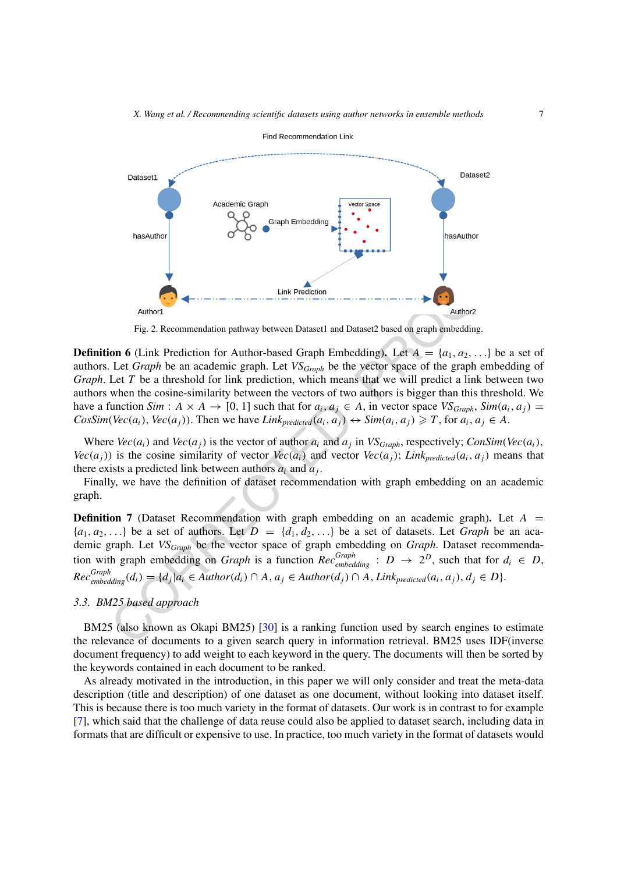

<span id="page-6-0"></span>Fig. 2. Recommendation pathway between Dataset1 and Dataset2 based on graph embedding.

Link Prediction<br>
Fig. 2. Recommendation pathway between Dataset1 and Dataset2 based on graph embedding.<br>
Fig. 2. Recommendation pathway between Dataset1 and Dataset2 based on graph embedding.<br>
Let Graph be an academic gra **Definition 6** (Link Prediction for Author-based Graph Embedding). Let  $A = \{a_1, a_2, ...\}$  be a set of authors. Let *Graph* be an academic graph. Let *VSGraph* be the vector space of the graph embedding of *Graph*. Let *T* be a threshold for link prediction, which means that we will predict a link between two authors when the cosine-similarity between the vectors of two authors is bigger than this threshold. We have a function *Sim* :  $A \times A \rightarrow [0, 1]$  such that for  $a_i, a_j \in A$ , in vector space  $VS_{Graph}$ ,  $Sim(a_i, a_j)$  $CosSim(Vec(a_i), Vec(a_j))$ . Then we have  $Link_{predicted}(a_i, a_j) \leftrightarrow Sim(a_i, a_j) \geq T$ , for  $a_i, a_j \in A$ .

Where  $Vec(a_i)$  and  $Vec(a_j)$  is the vector of author  $a_i$  and  $a_j$  in  $VS_{Graph}$ , respectively;  $ConSim(Vec(a_i))$ , *Vec*( $a<sub>i</sub>$ )) is the cosine similarity of vector *Vec*( $a<sub>i</sub>$ ) and vector *Vec*( $a<sub>i</sub>$ ); *Link<sub>predicted</sub>*( $a<sub>i</sub>$ ,  $a<sub>i</sub>$ ) means that there exists a predicted link between authors  $a_i$  and  $a_j$ .

Finally, we have the definition of dataset recommendation with graph embedding on an academic graph.

<span id="page-6-1"></span>**Definition 7** (Dataset Recommendation with graph embedding on an academic graph). Let  $A =$  ${a_1, a_2,...}$  be a set of authors. Let  $D = {d_1, d_2,...}$  be a set of datasets. Let *Graph* be an academic graph. Let *VSGraph* be the vector space of graph embedding on *Graph*. Dataset recommendation with graph embedding on *Graph* is a function  $Rec_{embedding}^{Graph}$  :  $D \rightarrow 2^D$ , such that for  $d_i \in D$ ,  $Rec_{embedding}^{Graph}(d_i) = \{d_j | a_i \in Author(d_i) \cap A, a_j \in Author(d_j) \cap A, Link_{predicted}(a_i, a_j), d_j \in D\}.$ 

#### *3.3. BM25 based approach*

BM25 (also known as Okapi BM25) [30] is a ranking function used by search engines to estimate the relevance of documents to a given search query in information retrieval. BM25 uses IDF(inverse document frequency) to add weight to each keyword in the query. The documents will then be sorted by the keywords contained in each document to be ranked.

As already motivated in the introduction, in this paper we will only consider and treat the meta-data description (title and description) of one dataset as one document, without looking into dataset itself. This is because there is too much variety in the format of datasets. Our work is in contrast to for example [\[7\]](#page-24-8), which said that the challenge of data reuse could also be applied to dataset search, including data in formats that are difficult or expensive to use. In practice, too much variety in the format of datasets would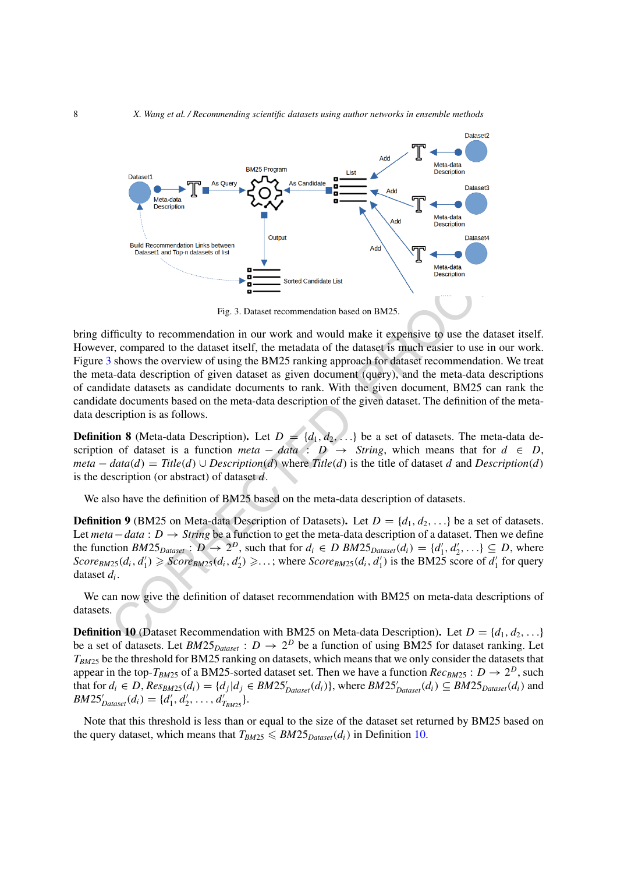

<span id="page-7-0"></span>Fig. 3. Dataset recommendation based on BM25.

**Example 12**<br>
Fig. 3. Dataset recommendation based on BM25.<br>
Friendly to recommendation in our work and would make it expensive to use the data,<br>
r, compared to the dataset itself, the metadata of the dataset is much easi bring difficulty to recommendation in our work and would make it expensive to use the dataset itself. However, compared to the dataset itself, the metadata of the dataset is much easier to use in our work. Figure [3](#page-7-0) shows the overview of using the BM25 ranking approach for dataset recommendation. We treat the meta-data description of given dataset as given document (query), and the meta-data descriptions of candidate datasets as candidate documents to rank. With the given document, BM25 can rank the candidate documents based on the meta-data description of the given dataset. The definition of the metadata description is as follows.

**Definition 8** (Meta-data Description). Let  $D = \{d_1, d_2, ...\}$  be a set of datasets. The meta-data description of dataset is a function *meta* – *data* :  $D \rightarrow String$ , which means that for  $d \in D$ , *meta* −  $data(d)$  =  $Title(d)$  ∪  $Description(d)$  where  $Title(d)$  is the title of dataset *d* and  $Description(d)$ is the description (or abstract) of dataset *d*.

We also have the definition of BM25 based on the meta-data description of datasets.

**Definition 9** (BM25 on Meta-data Description of Datasets). Let  $D = \{d_1, d_2, ...\}$  be a set of datasets. Let *meta*−*data* : *D* → *String* be a function to get the meta-data description of a dataset. Then we define the function  $BM25_{Dataset}$ :  $D \rightarrow 2^D$ , such that for  $d_i \in D \, BM25_{Dataset}(d_i) = \{d'_1, d'_2, ...\} \subseteq D$ , where  $Score_{BM25}(d_i, d'_1) \geqslant Score_{BM25}(d_i, d'_2) \geqslant \ldots$ ; where  $Score_{BM25}(d_i, d'_1)$  is the BM25 score of  $d'_1$  for query dataset *di*.

We can now give the definition of dataset recommendation with BM25 on meta-data descriptions of datasets.

<span id="page-7-1"></span>**Definition 10** (Dataset Recommendation with BM25 on Meta-data Description). Let  $D = \{d_1, d_2, ...\}$ be a set of datasets. Let  $BM25_{Dataset}$  :  $D \rightarrow 2^D$  be a function of using BM25 for dataset ranking. Let *T<sub>BM25</sub>* be the threshold for BM25 ranking on datasets, which means that we only consider the datasets that appear in the top- $T_{BM25}$  of a BM25-sorted dataset set. Then we have a function  $Rec_{BM25} : D \rightarrow 2^D$ , such that for  $d_i \in D$ ,  $Res_{BM25}(d_i) = \{d_j | d_j \in BM25'_{Dataser}(d_i)\}$ , where  $BM25'_{Dataser}(d_i) \subseteq BM25_{Dataser}(d_i)$  and  $BM25'_{Dataset}(d_i) = \{d'_1, d'_2, \ldots, d'_{T_{BM25}}\}.$ 

Note that this threshold is less than or equal to the size of the dataset set returned by BM25 based on the query dataset, which means that  $T_{BM25} \leqslant BM25_{Dataset}(d_i)$  in Definition [10](#page-7-1).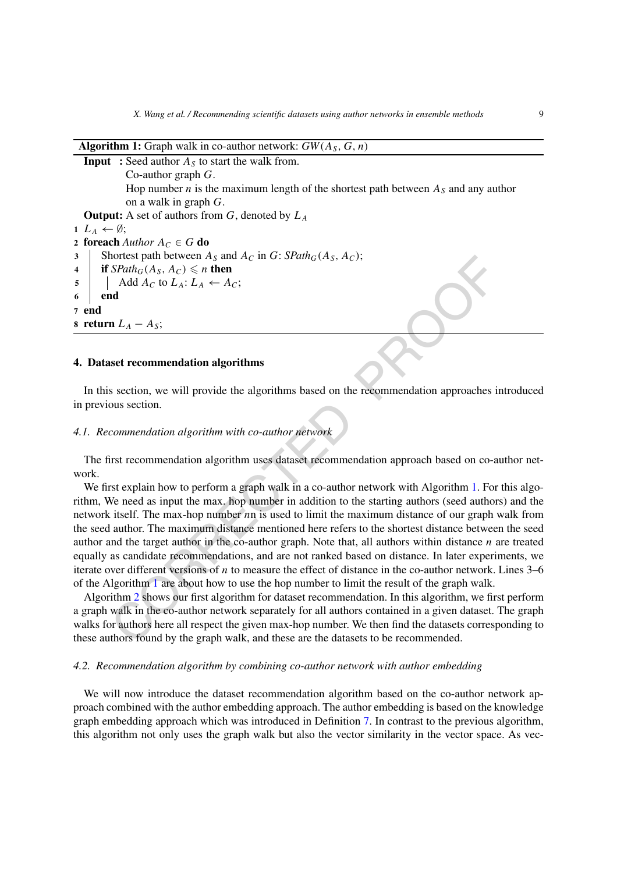*X. Wang et al. / Recommending scientific datasets using author networks in ensemble methods* 9

## **Algorithm 1:** Graph walk in co-author network: *GW(AS, G, n)*

```
Input : Seed author A<sub>S</sub> to start the walk from.
            Co-author graph G.
            Hop number n is the maximum length of the shortest path between A_s and any author
            on a walk in graph G.
  Output: A set of authors from G, denoted by LA
1 L_A \leftarrow \emptyset;
2 foreach Author A_C \in G do
3 Shortest path between A_S and A_C in G: SPath_G(A_S, A_C);
4 if SPath_G(A_S, A_C) \leq n then
5 \blacktriangleleft Add A_C to L_A: L_A \leftarrow A_C;6 end
7 end
8 return L_A - A_S;
```
#### <span id="page-8-0"></span>**4. Dataset recommendation algorithms**

In this section, we will provide the algorithms based on the recommendation approaches introduced in previous section.

#### *4.1. Recommendation algorithm with co-author network*

The first recommendation algorithm uses dataset recommendation approach based on co-author network.

Spain terveen ans and  $A_C$  $A_C$  in  $G: S\ell uln_0(A_S, A_C)$ ;<br>
SPairl<sub>o</sub>( $A_S, A_C$ )  $\leq \pi$  then<br>  $\Delta d$   $A_C$  to  $L_A: L_A \leftarrow A_C$ ;<br>
and<br>  $\Delta d$   $A_C$  to  $L_A: L_A \leftarrow A_C$ ;<br>
and<br>  $\Delta d$   $A_C$  to  $L_A: L_A \leftarrow A_C$ ;<br>  $\Delta d$ <br>  $\Delta d$   $\Delta c$  to  $L_A: L_A \leftarrow A_C$ ;<br>  $\Delta d$ We first explain how to perform a graph walk in a co-author network with Algorithm 1. For this algorithm, We need as input the max. hop number in addition to the starting authors (seed authors) and the network itself. The max-hop number *n*n is used to limit the maximum distance of our graph walk from the seed author. The maximum distance mentioned here refers to the shortest distance between the seed author and the target author in the co-author graph. Note that, all authors within distance *n* are treated equally as candidate recommendations, and are not ranked based on distance. In later experiments, we iterate over different versions of *n* to measure the effect of distance in the co-author network. Lines 3–6 of the Algorithm 1 are about how to use the hop number to limit the result of the graph walk.

Algorithm 2 shows our first algorithm for dataset recommendation. In this algorithm, we first perform a graph walk in the co-author network separately for all authors contained in a given dataset. The graph walks for authors here all respect the given max-hop number. We then find the datasets corresponding to these authors found by the graph walk, and these are the datasets to be recommended.

#### *4.2. Recommendation algorithm by combining co-author network with author embedding*

We will now introduce the dataset recommendation algorithm based on the co-author network approach combined with the author embedding approach. The author embedding is based on the knowledge graph embedding approach which was introduced in Definition [7](#page-6-1). In contrast to the previous algorithm, this algorithm not only uses the graph walk but also the vector similarity in the vector space. As vec-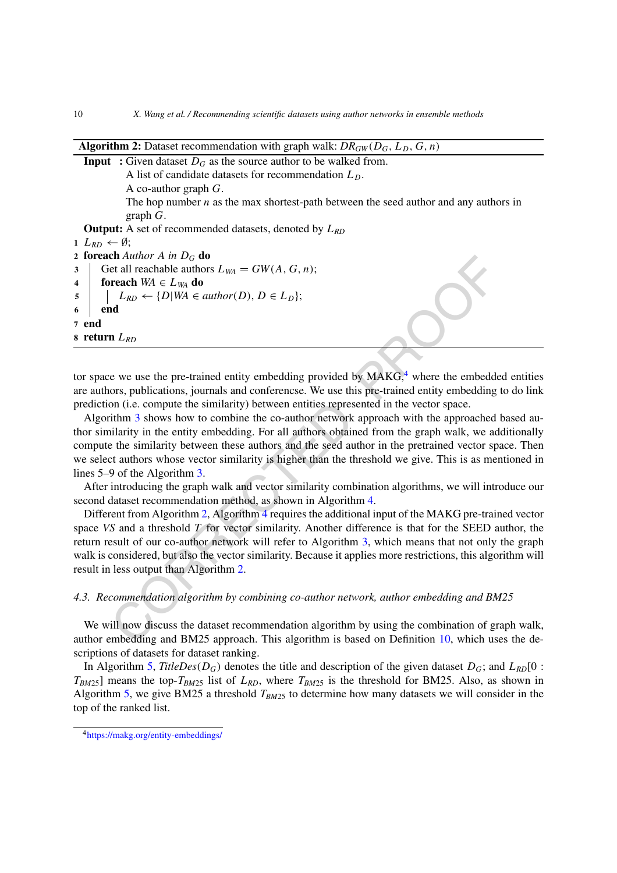```
en Auturor A m D_G do<br>
en Auturor A m D<sub>G</sub> do<br>
et all reachable author(D), D \in L_D);<br>
Let all reachable authors L_{WA} = GW(A, G, n);<br>
L_{BD} \leftarrow \{D|WA \in \text{author}(D), D \in L_D\};<br>
\Delta_{BD}<br>
\Delta_{BD}<br>
\Delta_{BD}<br>
\Delta_{BD}<br>
\Delta_{BD}<br>
\Delta_{BD}<br>
\Algorithm 2: Dataset recommendation with graph walk: DR_{GW}(D_G, L_D, G, n)Input : Given dataset D_G as the source author to be walked from.
               A list of candidate datasets for recommendation LD.
               A co-author graph G.
               The hop number n as the max shortest-path between the seed author and any authors in
               graph G.
   Output: A set of recommended datasets, denoted by LRD
1 L_{RD} ← Ø;
2 foreach Author A in DG do
3 Get all reachable authors L_{WA} = GW(A, G, n);4 foreach WA \in L_{WA} do
\mathcal{F} | L_{RD} \leftarrow \{D | WA \in author(D), D \in L_D\};6 end
7 end
8 return LRD
```
<span id="page-9-0"></span>tor space we use the pre-trained entity embedding provided by  $MAKG<sub>1</sub><sup>4</sup>$  where the embedded entities are authors, publications, journals and conferencse. We use this pre-trained entity embedding to do link prediction (i.e. compute the similarity) between entities represented in the vector space.

Algorithm 3 shows how to combine the co-author network approach with the approached based author similarity in the entity embedding. For all authors obtained from the graph walk, we additionally compute the similarity between these authors and the seed author in the pretrained vector space. Then we select authors whose vector similarity is higher than the threshold we give. This is as mentioned in lines 5–9 of the Algorithm 3.

After introducing the graph walk and vector similarity combination algorithms, we will introduce our second dataset recommendation method, as shown in Algorithm 4.

Different from Algorithm 2, Algorithm 4 requires the additional input of the MAKG pre-trained vector space *VS* and a threshold *T* for vector similarity. Another difference is that for the SEED author, the return result of our co-author network will refer to Algorithm 3, which means that not only the graph walk is considered, but also the vector similarity. Because it applies more restrictions, this algorithm will result in less output than Algorithm 2.

#### *4.3. Recommendation algorithm by combining co-author network, author embedding and BM25*

We will now discuss the dataset recommendation algorithm by using the combination of graph walk, author embedding and BM25 approach. This algorithm is based on Definition 10, which uses the descriptions of datasets for dataset ranking.

In Algorithm [5](#page-12-0), *TitleDes*( $D_G$ ) denotes the title and description of the given dataset  $D_G$ ; and  $L_{RD}[0:$ *TBM*25] means the top-*TBM*<sup>25</sup> list of *LRD*, where *TBM*<sup>25</sup> is the threshold for BM25. Also, as shown in Algorithm [5,](#page-12-0) we give BM25 a threshold *TBM*<sup>25</sup> to determine how many datasets we will consider in the top of the ranked list.

<span id="page-9-1"></span><sup>4</sup><https://makg.org/entity-embeddings/>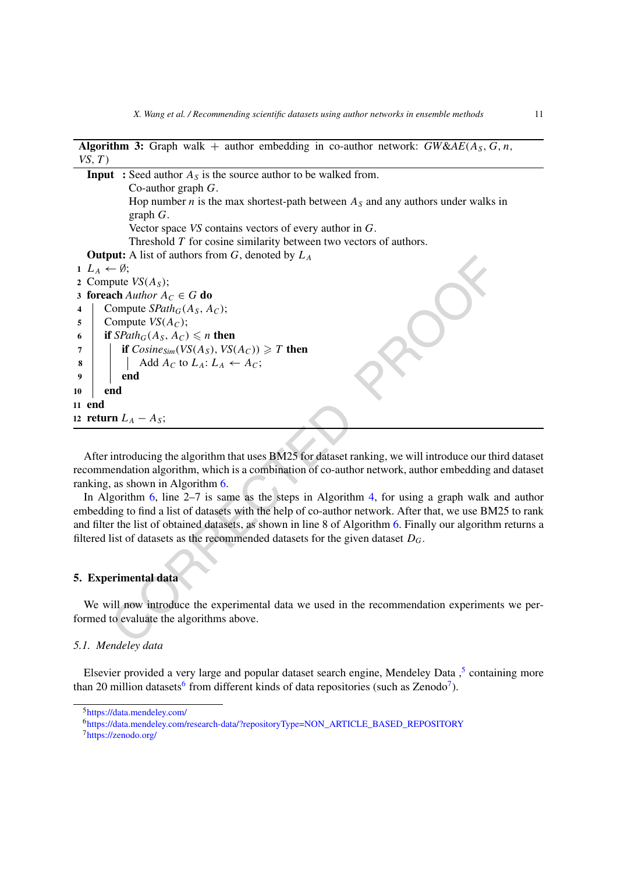| <b>Algorithm 3:</b> Graph walk + author embedding in co-author network: $GW\&AE(A_5, G, n,$<br>VS, T)                                                                                                                                                                                           |
|-------------------------------------------------------------------------------------------------------------------------------------------------------------------------------------------------------------------------------------------------------------------------------------------------|
| <b>Input</b> : Seed author $A_s$ is the source author to be walked from.                                                                                                                                                                                                                        |
| Co-author graph $G$ .                                                                                                                                                                                                                                                                           |
|                                                                                                                                                                                                                                                                                                 |
| Hop number <i>n</i> is the max shortest-path between $A_s$ and any authors under walks in<br>graph $G$ .                                                                                                                                                                                        |
|                                                                                                                                                                                                                                                                                                 |
| Vector space $VS$ contains vectors of every author in $G$ .                                                                                                                                                                                                                                     |
| Threshold $T$ for cosine similarity between two vectors of authors.                                                                                                                                                                                                                             |
| <b>Output:</b> A list of authors from $G$ , denoted by $L_A$<br>$1\ L_A\leftarrow\emptyset;$                                                                                                                                                                                                    |
|                                                                                                                                                                                                                                                                                                 |
| 2 Compute $VS(AS)$ ;<br>3 foreach Author $A_C \in G$ do                                                                                                                                                                                                                                         |
| Compute $SPath_G(A_S, A_C);$<br>$\overline{\mathbf{4}}$                                                                                                                                                                                                                                         |
| Compute $VS(A_C)$ ;<br>5                                                                                                                                                                                                                                                                        |
| if $SPath_G(A_S, A_C) \leq n$ then<br>6                                                                                                                                                                                                                                                         |
| if $Cosine_{Sim}(VS(A_S), VS(A_C)) \geq T$ then<br>7                                                                                                                                                                                                                                            |
| Add $A_C$ to $L_A: L_A \leftarrow A_C$ ;<br>8                                                                                                                                                                                                                                                   |
| end<br>9                                                                                                                                                                                                                                                                                        |
| end<br>10                                                                                                                                                                                                                                                                                       |
| 11 end                                                                                                                                                                                                                                                                                          |
|                                                                                                                                                                                                                                                                                                 |
| 12 return $L_A - A_S$ ;                                                                                                                                                                                                                                                                         |
|                                                                                                                                                                                                                                                                                                 |
| After introducing the algorithm that uses BM25 for dataset ranking, we will introduce our third da                                                                                                                                                                                              |
| recommendation algorithm, which is a combination of co-author network, author embedding and da                                                                                                                                                                                                  |
| ranking, as shown in Algorithm 6.                                                                                                                                                                                                                                                               |
| In Algorithm 6, line $2-7$ is same as the steps in Algorithm 4, for using a graph walk and au                                                                                                                                                                                                   |
| embedding to find a list of datasets with the help of co-author network. After that, we use BM25 to                                                                                                                                                                                             |
| and filter the list of obtained datasets, as shown in line 8 of Algorithm 6. Finally our algorithm return                                                                                                                                                                                       |
| filtered list of datasets as the recommended datasets for the given dataset $D_G$ .                                                                                                                                                                                                             |
|                                                                                                                                                                                                                                                                                                 |
|                                                                                                                                                                                                                                                                                                 |
| 5. Experimental data                                                                                                                                                                                                                                                                            |
|                                                                                                                                                                                                                                                                                                 |
| We will now introduce the experimental data we used in the recommendation experiments we                                                                                                                                                                                                        |
| formed to evaluate the algorithms above.                                                                                                                                                                                                                                                        |
|                                                                                                                                                                                                                                                                                                 |
| $\sqrt{2}$ 1 M $\sqrt{2}$ 1 M $\sqrt{2}$ 1 $\sqrt{2}$ 1 $\sqrt{2}$ 1 $\sqrt{2}$ 1 $\sqrt{2}$ 1 $\sqrt{2}$ 1 $\sqrt{2}$ 1 $\sqrt{2}$ 1 $\sqrt{2}$ 1 $\sqrt{2}$ 1 $\sqrt{2}$ 1 $\sqrt{2}$ 1 $\sqrt{2}$ 1 $\sqrt{2}$ 1 $\sqrt{2}$ 1 $\sqrt{2}$ 1 $\sqrt{2}$ 1 $\sqrt{2}$ 1 $\sqrt{2}$ 1 $\sqrt{2}$ |

**8**  $\blacksquare$  Add  $A_C$  to  $L_A: L_A \leftarrow A_C;$ 

#### <span id="page-10-1"></span>**11 end**

#### <span id="page-10-0"></span>**5. Experimental data**

#### *5.1. Mendeley data*

Elsevier provided a very large and popular dataset search engine, Mendeley Data,<sup>[5](#page-10-2)</sup> containing more than 20 million datasets<sup>[6](#page-10-3)</sup> from different kinds of data repositories (such as Zenodo<sup>7</sup>).

<span id="page-10-2"></span><sup>5</sup><https://data.mendeley.com/>

<span id="page-10-3"></span><sup>6</sup>[https://data.mendeley.com/research-data/?repositoryType=NON\\_ARTICLE\\_BASED\\_REPOSITORY](https://data.mendeley.com/research-data/?repositoryType=NON_ARTICLE_BASED_REPOSITORY)

<span id="page-10-4"></span><sup>7</sup><https://zenodo.org/>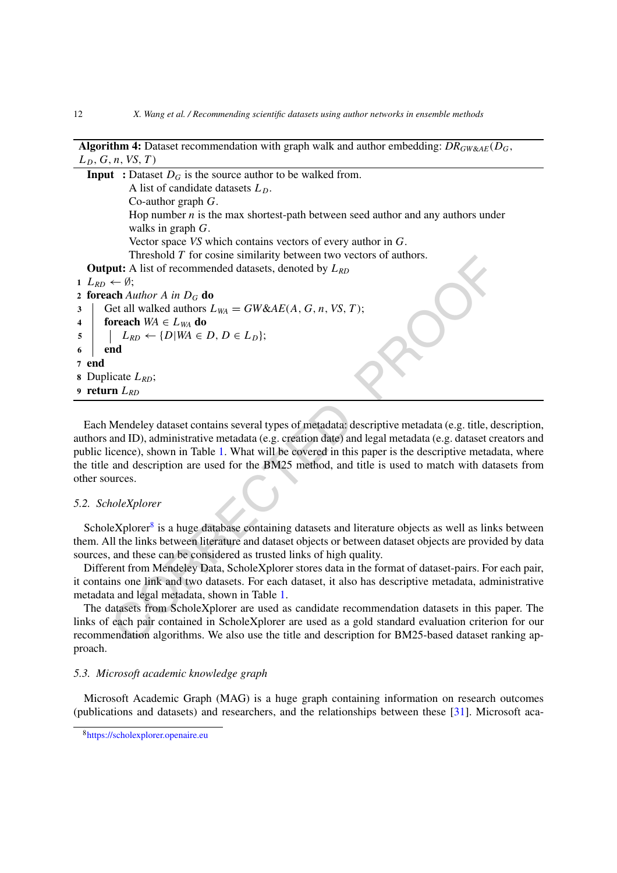| <b>Algorithm 4:</b> Dataset recommendation with graph walk and author embedding: $DR_{GW\&AE}(D_G,$ |  |  |
|-----------------------------------------------------------------------------------------------------|--|--|
| $L_D, G, n, VS, T$                                                                                  |  |  |

|              | <b>Input</b> : Dataset $D_G$ is the source author to be walked from.                                           |
|--------------|----------------------------------------------------------------------------------------------------------------|
|              | A list of candidate datasets $LD$ .                                                                            |
|              | Co-author graph $G$ .                                                                                          |
|              | Hop number $n$ is the max shortest-path between seed author and any authors under                              |
|              | walks in graph $G$ .                                                                                           |
|              | Vector space $VS$ which contains vectors of every author in $G$ .                                              |
|              | Threshold $T$ for cosine similarity between two vectors of authors.                                            |
|              | <b>Output:</b> A list of recommended datasets, denoted by $L_{RD}$                                             |
|              | 1 $L_{RD} \leftarrow \emptyset;$                                                                               |
|              | 2 foreach Author A in $D_G$ do                                                                                 |
| $\mathbf{3}$ | Get all walked authors $L_{WA} = GW&AE(A, G, n, VS, T);$                                                       |
| 4            | foreach $WA \in L_{WA}$ do                                                                                     |
| 5            | $L_{RD} \leftarrow \{D   WA \in D, D \in L_D\};$                                                               |
| 6            | end                                                                                                            |
|              | 7 end                                                                                                          |
|              | 8 Duplicate $L_{RD}$ ;                                                                                         |
|              | 9 return $L_{RD}$                                                                                              |
|              |                                                                                                                |
|              | Each Mendeley dataset contains several types of metadata: descriptive metadata (e.g. title, descripti          |
|              | authors and ID), administrative metadata (e.g. creation date) and legal metadata (e.g. dataset creators        |
|              | public licence), shown in Table 1. What will be covered in this paper is the descriptive metadata, when        |
|              | the title and description are used for the BM25 method, and title is used to match with datasets fi            |
|              | other sources.                                                                                                 |
|              |                                                                                                                |
|              | 5.2. ScholeXplorer                                                                                             |
|              |                                                                                                                |
|              | ScholeXplorer <sup>8</sup> is a huge database containing datasets and literature objects as well as links betw |
|              | them. All the links between literature and dataset objects or between dataset objects are provided by o        |
|              | sources, and these can be considered as trusted links of high quality.                                         |
|              | Different from Mendeley Data, ScholeXplorer stores data in the format of dataset-pairs. For each p             |
|              | it contains one link and two datasets. For each dataset, it also has descriptive metadata, administra          |
|              | metadata and legal metadata, shown in Table 1.                                                                 |
|              |                                                                                                                |
|              | The datasets from ScholeXplorer are used as candidate recommendation datasets in this paper.                   |
|              | links of each pair contained in ScholeXplorer are used as a gold standard evaluation criterion for             |
|              | recommendation algorithms. We also use the title and description for BM25-based dataset ranking                |

#### <span id="page-11-0"></span>*5.2. ScholeXplorer*

The datasets from ScholeXplorer are used as candidate recommendation datasets in this paper. The links of each pair contained in ScholeXplorer are used as a gold standard evaluation criterion for our recommendation algorithms. We also use the title and description for BM25-based dataset ranking approach.

#### *5.3. Microsoft academic knowledge graph*

Microsoft Academic Graph (MAG) is a huge graph containing information on research outcomes (publications and datasets) and researchers, and the relationships between these [[31\]](#page-26-9). Microsoft aca-

<span id="page-11-1"></span><sup>8</sup><https://scholexplorer.openaire.eu>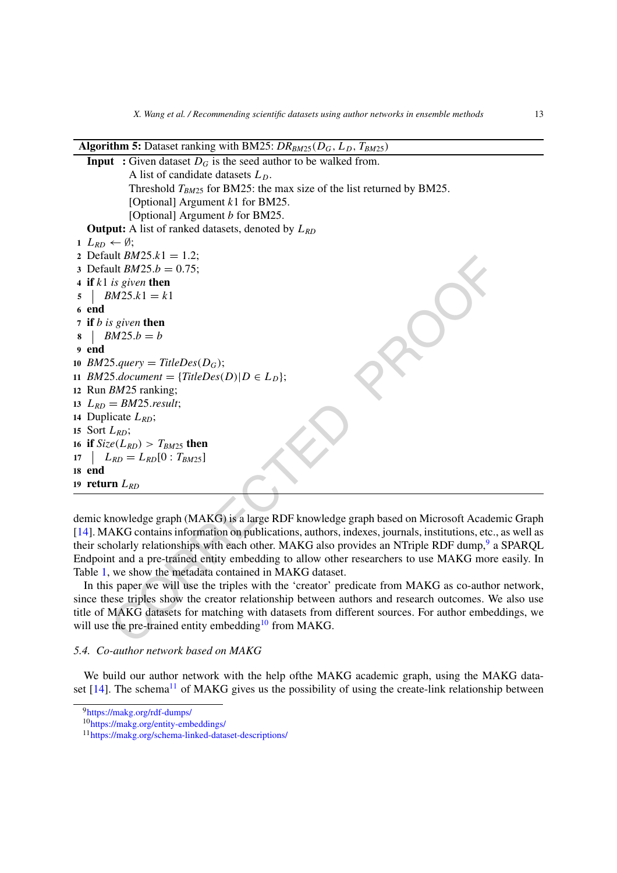#### **Algorithm 5:** Dataset ranking with BM25: *DRBM*25*(DG, LD, TBM*25*)*

```
ut BM25.x = 1.2;<br>
ut BM25.k = 1.2;<br>
is given then<br>
BM25.k = \theta.<br>
S.query = TiteDes(D<sub>G</sub>);<br>
S.guery = TiteDes(D<sub>G</sub>);<br>
S.guery = TiteDes(D<sub>G</sub>);<br>
EM25.result;<br>
EM25.result;<br>
EM25.result;<br>
L<sub>RD</sub>;<br>
LRD;<br>
LRD;<br>
LRD;<br>
LRD;
    Input : Given dataset D_G is the seed author to be walked from.
               A list of candidate datasets LD.
               Threshold T_{BM25} for BM25: the max size of the list returned by BM25.
               [Optional] Argument k1 for BM25.
               [Optional] Argument b for BM25.
   Output: A list of ranked datasets, denoted by LRD
 1 L_{RD} ← Ø;
 2 Default BM25.k1 = 1.2;
 3 Default BM25.b = 0.75;
 4 if k1 is given then
 5 \quad B M 25. k1 = k16 end
 7 if b is given then
 8 BM25.b = b
 9 end
10 BM25.query = TitleDes(D_G);
11 BM25.document = {TitleDes(D)|D \in L<sub>D</sub>};
12 Run BM25 ranking;
13 L_{RD} = BM25.result;
14 Duplicate LRD;
15 Sort LRD;
16 if Size(L_{RD}) > T_{BM25} then
17 L_{RD} = L_{RD} [0 : T_{BM25}]18 end
19 return LRD
```
<span id="page-12-0"></span>demic knowledge graph (MAKG) is a large RDF knowledge graph based on Microsoft Academic Graph [\[14](#page-25-5)]. MAKG contains information on publications, authors, indexes, journals, institutions, etc., as well as their scholarly relationships with each other. MAKG also provides an NTriple RDF dump,<sup>9</sup> a SPARQL Endpoint and a pre-trained entity embedding to allow other researchers to use MAKG more easily. In Table [1](#page-13-1), we show the metadata contained in MAKG dataset.

In this paper we will use the triples with the 'creator' predicate from MAKG as co-author network, since these triples show the creator relationship between authors and research outcomes. We also use title of MAKG datasets for matching with datasets from different sources. For author embeddings, we will use the pre-trained entity embedding<sup>10</sup> from MAKG.

#### *5.4. Co-author network based on MAKG*

We build our author network with the help ofthe MAKG academic graph, using the MAKG dataset  $[14]$  $[14]$ . The schema<sup>11</sup> of MAKG gives us the possibility of using the create-link relationship between

<span id="page-12-1"></span><sup>9</sup><https://makg.org/rdf-dumps/>

<span id="page-12-2"></span><sup>10</sup><https://makg.org/entity-embeddings/>

<span id="page-12-3"></span><sup>11</sup><https://makg.org/schema-linked-dataset-descriptions/>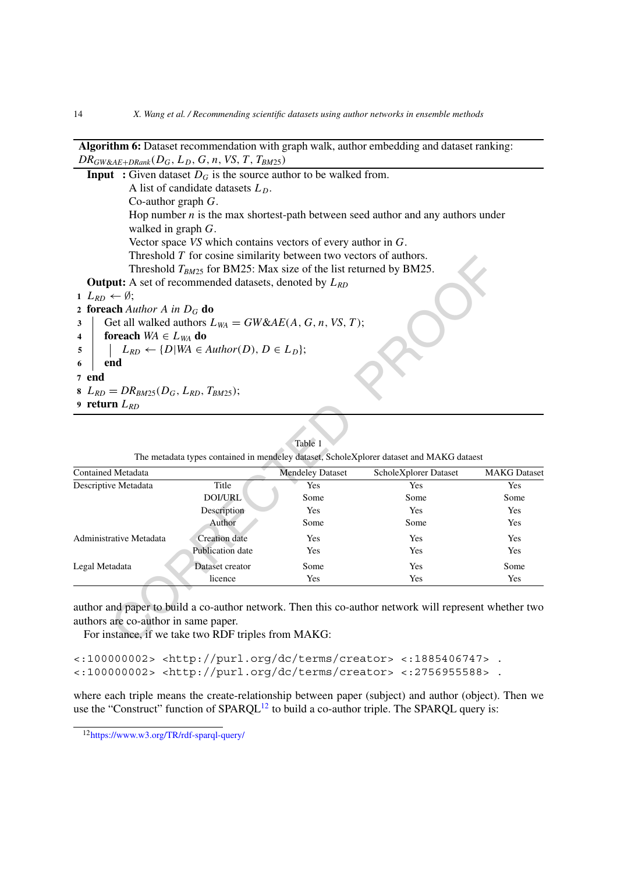Threshold T<sub>HOTS</sub>: For BM25: Max size of the list returned by BM25.<br>
Threshold T<sub>HOTS</sub>: for BM25: Max size of the list returned by BM25.<br>
Let A *stinch a in D<sub>G</sub>* do<br>
ich aluthor A in D<sub>G</sub> do<br>
ich aluthor A in D<sub>G</sub> do<br>
ic **Algorithm 6:** Dataset recommendation with graph walk, author embedding and dataset ranking:  $DR_{GW\&AE+DRank}(D_G, L_D, G, n, VS, T, T_{BM25})$ **Input** : Given dataset  $D_G$  is the source author to be walked from. A list of candidate datasets  $L<sub>D</sub>$ . Co-author graph *G*. Hop number  $n$  is the max shortest-path between seed author and any authors under walked in graph *G*. Vector space *VS* which contains vectors of every author in *G*. Threshold *T* for cosine similarity between two vectors of authors. Threshold *TBM*<sup>25</sup> for BM25: Max size of the list returned by BM25. **Output:** A set of recommended datasets, denoted by *LRD*  $1 \ L_{RD} \leftarrow \emptyset;$ **<sup>2</sup> foreach** *Author A in DG* **do 3** Get all walked authors  $L_{WA} = GW&AE(A, G, n, VS, T);$ **4 foreach**  $WA \in L_{WA}$  **do**  $\mathcal{F}$  |  $L_{RD} \leftarrow \{D | WA \in Author(D), D \in L_D\};$ **6 end 7 end**  $B_{RD} = DR_{BM25}(D_G, L_{RD}, T_{BM25});$ **<sup>9</sup> return** *LRD*

### Table 1

| Contained Metadata      |                         | <b>Mendeley Dataset</b> | ScholeXplorer Dataset | <b>MAKG</b> Dataset |
|-------------------------|-------------------------|-------------------------|-----------------------|---------------------|
| Descriptive Metadata    | Title                   | Yes                     | Yes                   | Yes                 |
|                         | DOI/URL                 | Some                    | Some                  | Some                |
|                         | Description             | Yes                     | Yes                   | Yes                 |
|                         | Author                  | Some                    | Some                  | Yes                 |
| Administrative Metadata | <b>Creation</b> date    | Yes                     | Yes                   | Yes                 |
|                         | <b>Publication date</b> | Yes                     | Yes                   | Yes                 |
| Legal Metadata          | Dataset creator         | Some                    | Yes                   | Some                |
|                         | licence                 | Yes                     | Yes                   | Yes                 |

<span id="page-13-1"></span><span id="page-13-0"></span>

| The metadata types contained in mendeley dataset, ScholeXplorer dataset and MAKG dataest |  |  |  |
|------------------------------------------------------------------------------------------|--|--|--|
|                                                                                          |  |  |  |
|                                                                                          |  |  |  |
|                                                                                          |  |  |  |
|                                                                                          |  |  |  |

author and paper to build a co-author network. Then this co-author network will represent whether two authors are co-author in same paper.

For instance, if we take two RDF triples from MAKG:

<:100000002> <http://purl.org/dc/terms/creator> <:1885406747> . <:100000002> <http://purl.org/dc/terms/creator> <:2756955588> .

where each triple means the create-relationship between paper (subject) and author (object). Then we use the "Construct" function of  $SPARCL<sup>12</sup>$  $SPARCL<sup>12</sup>$  $SPARCL<sup>12</sup>$  to build a co-author triple. The SPARQL query is:

<span id="page-13-2"></span><sup>12</sup><https://www.w3.org/TR/rdf-sparql-query/>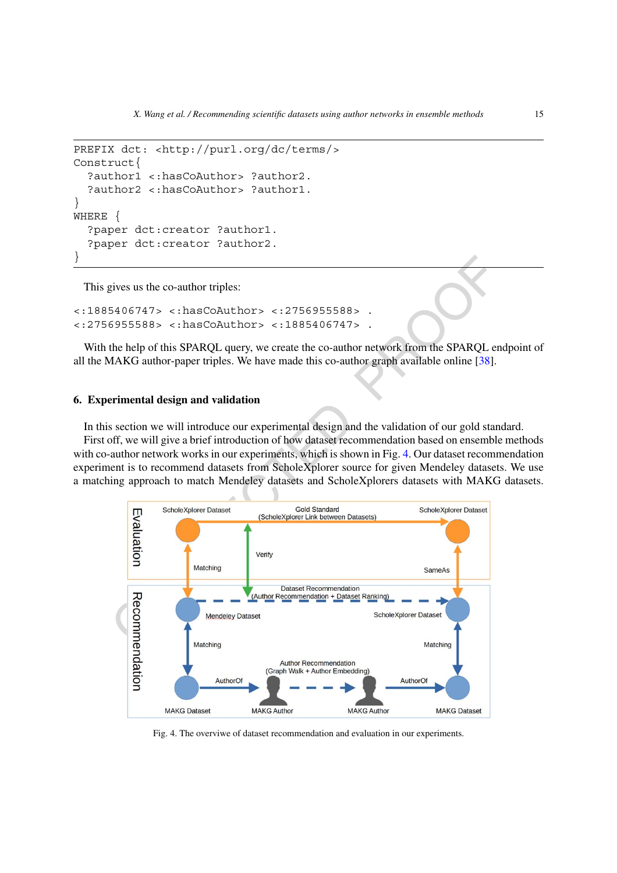```
PREFIX dct: <http://purl.org/dc/terms/>
Construct{
  ?author1 <:hasCoAuthor> ?author2.
  ?author2 <:hasCoAuthor> ?author1.
}
WHERE {
  ?paper dct:creator ?author1.
  ?paper dct:creator ?author2.
}
```
This gives us the co-author triples:

```
<:1885406747> <:hasCoAuthor> <:2756955588> .
<:2756955588> <:hasCoAuthor> <:1885406747> .
```
With the help of this SPARQL query, we create the co-author network from the SPARQL endpoint of all the MAKG author-paper triples. We have made this co-author graph available online [38].

#### **6. Experimental design and validation**

In this section we will introduce our experimental design and the validation of our gold standard. First off, we will give a brief introduction of how dataset recommendation based on ensemble methods with co-author network works in our experiments, which is shown in Fig. 4. Our dataset recommendation experiment is to recommend datasets from ScholeXplorer source for given Mendeley datasets. We use a matching approach to match Mendeley datasets and ScholeXplorers datasets with MAKG datasets.



<span id="page-14-0"></span>Fig. 4. The overviwe of dataset recommendation and evaluation in our experiments.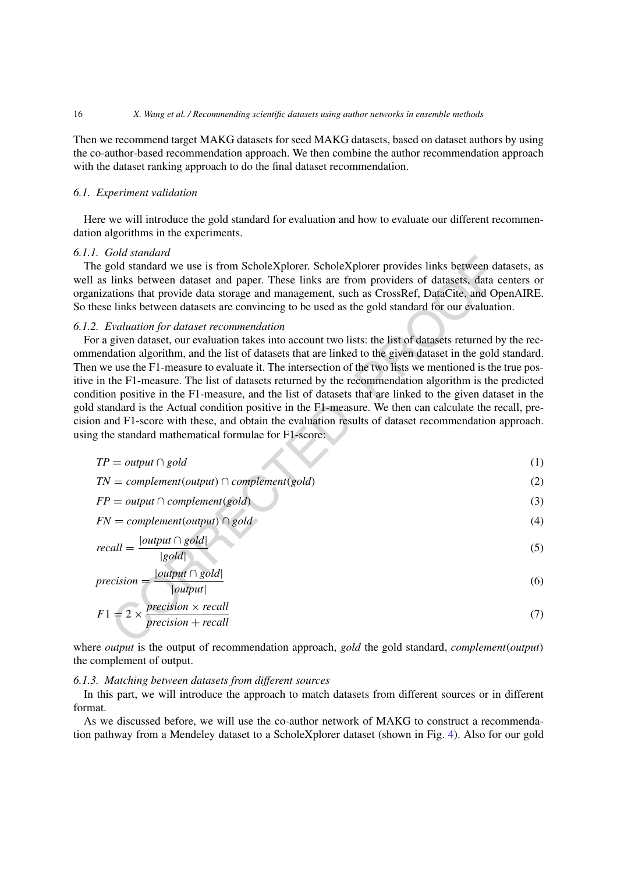Then we recommend target MAKG datasets for seed MAKG datasets, based on dataset authors by using the co-author-based recommendation approach. We then combine the author recommendation approach with the dataset ranking approach to do the final dataset recommendation.

#### *6.1. Experiment validation*

Here we will introduce the gold standard for evaluation and how to evaluate our different recommendation algorithms in the experiments.

#### *6.1.1. Gold standard*

The gold standard we use is from ScholeXplorer. ScholeXplorer provides links between datasets, as well as links between dataset and paper. These links are from providers of datasets, data centers or organizations that provide data storage and management, such as CrossRef, DataCite, and OpenAIRE. So these links between datasets are convincing to be used as the gold standard for our evaluation.

#### *6.1.2. Evaluation for dataset recommendation*

Solution standard we use is from ScholeXplorer. ScholeXplorer provides links between data<br>collod standard we use is from ScholeXplorer. ScholeXplorer provides links between data<br>informs between datasets and paper. These For a given dataset, our evaluation takes into account two lists: the list of datasets returned by the recommendation algorithm, and the list of datasets that are linked to the given dataset in the gold standard. Then we use the F1-measure to evaluate it. The intersection of the two lists we mentioned is the true positive in the F1-measure. The list of datasets returned by the recommendation algorithm is the predicted condition positive in the F1-measure, and the list of datasets that are linked to the given dataset in the gold standard is the Actual condition positive in the F1-measure. We then can calculate the recall, precision and F1-score with these, and obtain the evaluation results of dataset recommendation approach. using the standard mathematical formulae for F1-score:

$$
TP = output \cap gold \tag{1}
$$

$$
TN = complement(output) \cap complement(gold)
$$
 (2)

$$
FP = output \cap complement(gold)
$$
 (3)

$$
FN = complement(output) \cap gold
$$
 (4)

$$
recall = \frac{|output \cap gold|}{|gold|} \tag{5}
$$

$$
precision = \frac{|output \cap gold|}{|output|} \tag{6}
$$

$$
F1 = 2 \times \frac{precision \times recall}{precision + recall}
$$
 (7)

where *output* is the output of recommendation approach, *gold* the gold standard, *complement*(*output*) the complement of output.

#### *6.1.3. Matching between datasets from different sources*

In this part, we will introduce the approach to match datasets from different sources or in different format.

As we discussed before, we will use the co-author network of MAKG to construct a recommendation pathway from a Mendeley dataset to a ScholeXplorer dataset (shown in Fig. [4\)](#page-14-0). Also for our gold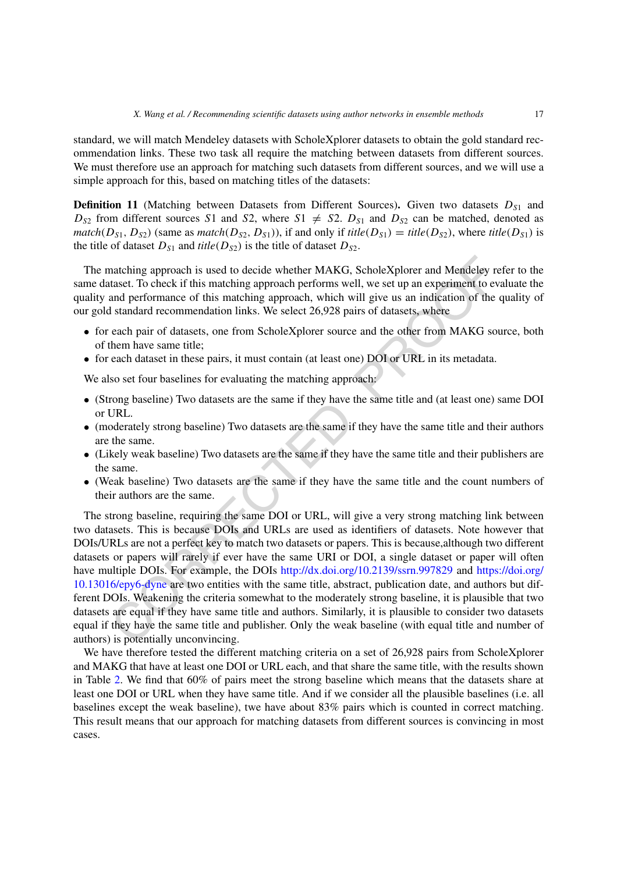standard, we will match Mendeley datasets with ScholeXplorer datasets to obtain the gold standard recommendation links. These two task all require the matching between datasets from different sources. We must therefore use an approach for matching such datasets from different sources, and we will use a simple approach for this, based on matching titles of the datasets:

**Definition 11** (Matching between Datasets from Different Sources). Given two datasets  $D_{S1}$  and  $D_{S2}$  from different sources *S*1 and *S*2, where *S*1  $\neq$  *S*2.  $D_{S1}$  and  $D_{S2}$  can be matched, denoted as *match*( $D_{S1}$ ,  $D_{S2}$ ) (same as *match*( $D_{S2}$ ,  $D_{S1}$ )), if and only if *title*( $D_{S1}$ ) = *title*( $D_{S2}$ ), where *title*( $D_{S1}$ ) is the title of dataset  $D_{S1}$  and *title*( $D_{S2}$ ) is the title of dataset  $D_{S2}$ .

The matching approach is used to decide whether MAKG, ScholeXplorer and Mendeley refer to the same dataset. To check if this matching approach performs well, we set up an experiment to evaluate the quality and performance of this matching approach, which will give us an indication of the quality of our gold standard recommendation links. We select 26,928 pairs of datasets, where

- for each pair of datasets, one from ScholeXplorer source and the other from MAKG source, both of them have same title;
- for each dataset in these pairs, it must contain (at least one) DOI or URL in its metadata.

We also set four baselines for evaluating the matching approach:

- (Strong baseline) Two datasets are the same if they have the same title and (at least one) same DOI or URL.
- (moderately strong baseline) Two datasets are the same if they have the same title and their authors are the same.
- (Likely weak baseline) Two datasets are the same if they have the same title and their publishers are the same.
- (Weak baseline) Two datasets are the same if they have the same title and the count numbers of their authors are the same.

natching approach is used to decide whether MAKG, ScholeXplorer and Mendeley re<br>taset. To check if this matching approach performs well, we set up an experiment to ev<br>and performance of this matching approach performs well The strong baseline, requiring the same DOI or URL, will give a very strong matching link between two datasets. This is because DOIs and URLs are used as identifiers of datasets. Note however that DOIs/URLs are not a perfect key to match two datasets or papers. This is because,although two different datasets or papers will rarely if ever have the same URI or DOI, a single dataset or paper will often have multiple DOIs. For example, the DOIs http://dx.doi.org/10.2139/ssrn.997829 and [https://doi.org/](https://doi.org/10.13016/epy6-dyne) [10.13016/epy6-dyne](https://doi.org/10.13016/epy6-dyne) are two entities with the same title, abstract, publication date, and authors but different DOIs. Weakening the criteria somewhat to the moderately strong baseline, it is plausible that two datasets are equal if they have same title and authors. Similarly, it is plausible to consider two datasets equal if they have the same title and publisher. Only the weak baseline (with equal title and number of authors) is potentially unconvincing.

We have therefore tested the different matching criteria on a set of 26,928 pairs from ScholeXplorer and MAKG that have at least one DOI or URL each, and that share the same title, with the results shown in Table [2.](#page-17-0) We find that 60% of pairs meet the strong baseline which means that the datasets share at least one DOI or URL when they have same title. And if we consider all the plausible baselines (i.e. all baselines except the weak baseline), twe have about 83% pairs which is counted in correct matching. This result means that our approach for matching datasets from different sources is convincing in most cases.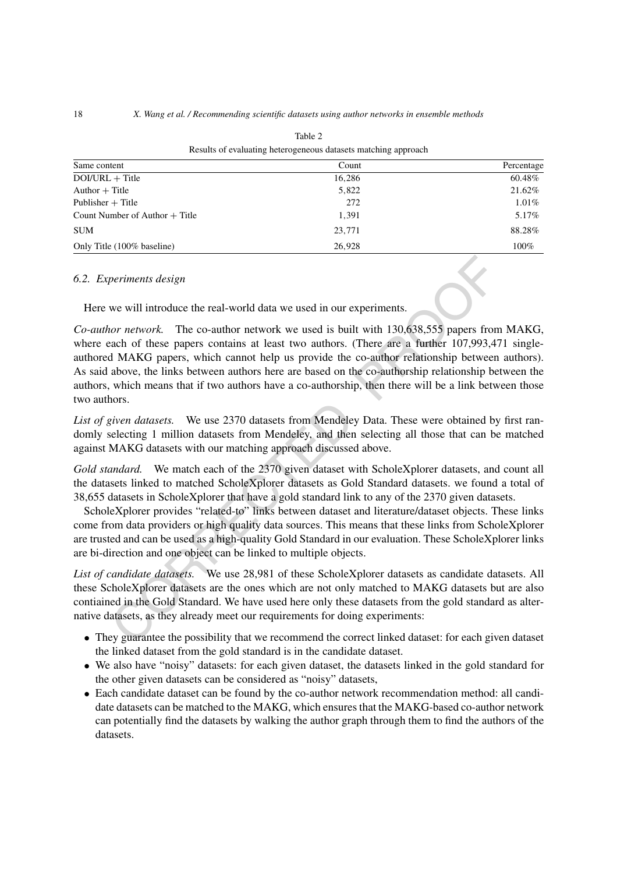| Results of evaluating neterogeneous datasets matering approach |        |            |  |  |
|----------------------------------------------------------------|--------|------------|--|--|
| Same content                                                   | Count  | Percentage |  |  |
| $DOI/URL + Title$                                              | 16,286 | 60.48%     |  |  |
| $Author + Title$                                               | 5,822  | 21.62%     |  |  |
| Publisher $+$ Title                                            | 272    | 1.01%      |  |  |
| Count Number of Author $+$ Title                               | 1,391  | 5.17%      |  |  |
| <b>SUM</b>                                                     | 23.771 | 88.28%     |  |  |
| Only Title (100% baseline)                                     | 26.928 | 100%       |  |  |

<span id="page-17-0"></span>Table 2 Results of evaluating heterogeneous datasets matching approach

#### *6.2. Experiments design*

Here we will introduce the real-world data we used in our experiments.

periments design<br>we will introduce the real-world data we used in our experiments.<br>
nor network. The co-author network we used is built with 130,638,555 papers from<br>
and MAKG papers, which cannot help us provide the co-aut *Co-author network.* The co-author network we used is built with 130,638,555 papers from MAKG, where each of these papers contains at least two authors. (There are a further 107,993,471 singleauthored MAKG papers, which cannot help us provide the co-author relationship between authors). As said above, the links between authors here are based on the co-authorship relationship between the authors, which means that if two authors have a co-authorship, then there will be a link between those two authors.

*List of given datasets.* We use 2370 datasets from Mendeley Data. These were obtained by first randomly selecting 1 million datasets from Mendeley, and then selecting all those that can be matched against MAKG datasets with our matching approach discussed above.

*Gold standard.* We match each of the 2370 given dataset with ScholeXplorer datasets, and count all the datasets linked to matched ScholeXplorer datasets as Gold Standard datasets. we found a total of 38,655 datasets in ScholeXplorer that have a gold standard link to any of the 2370 given datasets.

ScholeXplorer provides "related-to" links between dataset and literature/dataset objects. These links come from data providers or high quality data sources. This means that these links from ScholeXplorer are trusted and can be used as a high-quality Gold Standard in our evaluation. These ScholeXplorer links are bi-direction and one object can be linked to multiple objects.

*List of candidate datasets.* We use 28,981 of these ScholeXplorer datasets as candidate datasets. All these ScholeXplorer datasets are the ones which are not only matched to MAKG datasets but are also contiained in the Gold Standard. We have used here only these datasets from the gold standard as alternative datasets, as they already meet our requirements for doing experiments:

- They guarantee the possibility that we recommend the correct linked dataset: for each given dataset the linked dataset from the gold standard is in the candidate dataset.
- We also have "noisy" datasets: for each given dataset, the datasets linked in the gold standard for the other given datasets can be considered as "noisy" datasets,
- Each candidate dataset can be found by the co-author network recommendation method: all candidate datasets can be matched to the MAKG, which ensures that the MAKG-based co-author network can potentially find the datasets by walking the author graph through them to find the authors of the datasets.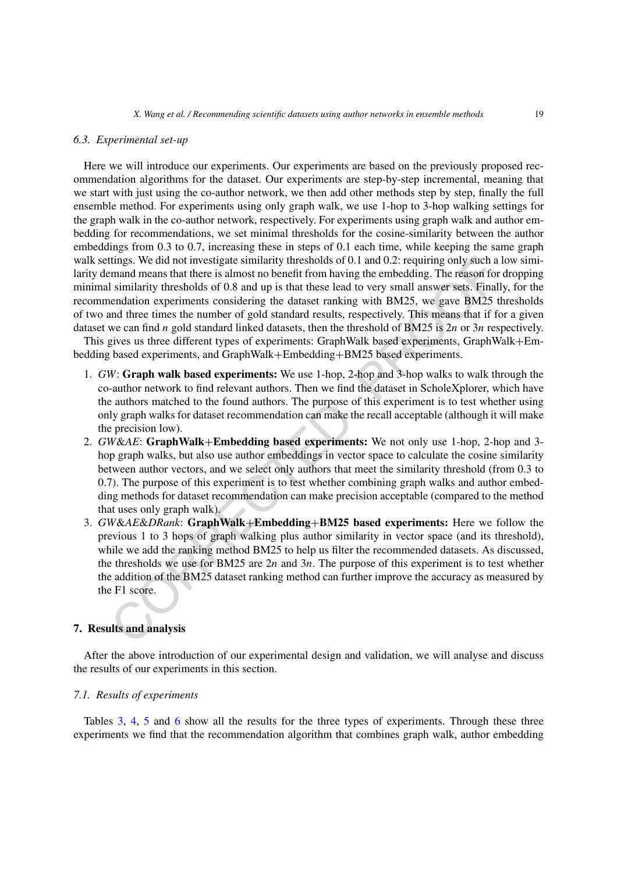#### *6.3. Experimental set-up*

Here we will introduce our experiments. Our experiments are based on the previously proposed recommendation algorithms for the dataset. Our experiments are step-by-step incremental, meaning that we start with just using the co-author network, we then add other methods step by step, finally the full ensemble method. For experiments using only graph walk, we use 1-hop to 3-hop walking settings for the graph walk in the co-author network, respectively. For experiments using graph walk and author embedding for recommendations, we set minimal thresholds for the cosine-similarity between the author embeddings from 0.3 to 0.7, increasing these in steps of 0.1 each time, while keeping the same graph walk settings. We did not investigate similarity thresholds of 0.1 and 0.2: requiring only such a low similarity demand means that there is almost no benefit from having the embedding. The reason for dropping minimal similarity thresholds of 0.8 and up is that these lead to very small answer sets. Finally, for the recommendation experiments considering the dataset ranking with BM25, we gave BM25 thresholds of two and three times the number of gold standard results, respectively. This means that if for a given dataset we can find *n* gold standard linked datasets, then the threshold of BM25 is 2*n* or 3*n* respectively.

This gives us three different types of experiments: GraphWalk based experiments, GraphWalk+Embedding based experiments, and GraphWalk+Embedding+BM25 based experiments.

- 1. *GW*: **Graph walk based experiments:** We use 1-hop, 2-hop and 3-hop walks to walk through the co-author network to find relevant authors. Then we find the dataset in ScholeXplorer, which have the authors matched to the found authors. The purpose of this experiment is to test whether using only graph walks for dataset recommendation can make the recall acceptable (although it will make the precision low).
- 2. *GW*&*AE*: **GraphWalk**+**Embedding based experiments:** We not only use 1-hop, 2-hop and 3 hop graph walks, but also use author embeddings in vector space to calculate the cosine similarity between author vectors, and we select only authors that meet the similarity threshold (from 0.3 to 0.7). The purpose of this experiment is to test whether combining graph walks and author embedding methods for dataset recommendation can make precision acceptable (compared to the method that uses only graph walk).
- tings. We did not investigate similarity thresholds of 0.1 and 0.2: requiring only such a mand means that there is almost no benefit from having the embedding. The reason for similarity thresholds of 0.8 and up is that th 3. *GW*&*AE*&*DRank*: **GraphWalk**+**Embedding**+**BM25 based experiments:** Here we follow the previous 1 to 3 hops of graph walking plus author similarity in vector space (and its threshold), while we add the ranking method BM25 to help us filter the recommended datasets. As discussed, the thresholds we use for BM25 are 2*n* and 3*n*. The purpose of this experiment is to test whether the addition of the BM25 dataset ranking method can further improve the accuracy as measured by the F1 score.

#### **7. Results and analysis**

After the above introduction of our experimental design and validation, we will analyse and discuss the results of our experiments in this section.

#### *7.1. Results of experiments*

Tables [3,](#page-19-0) [4](#page-19-1), [5](#page-19-2) and [6](#page-20-0) show all the results for the three types of experiments. Through these three experiments we find that the recommendation algorithm that combines graph walk, author embedding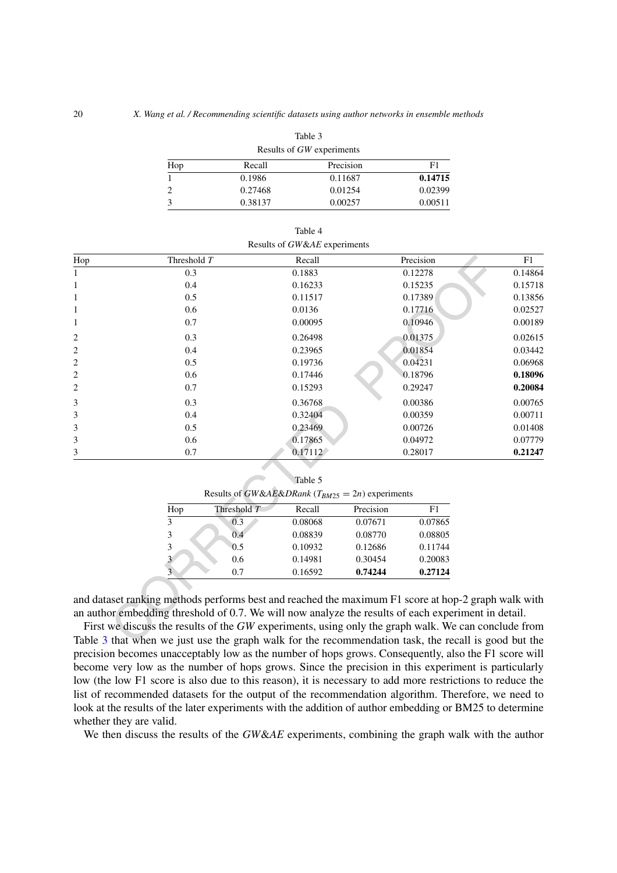| Table 3                   |         |           |         |  |  |
|---------------------------|---------|-----------|---------|--|--|
| Results of GW experiments |         |           |         |  |  |
| Hop                       | Recall  | Precision | F1      |  |  |
|                           | 0.1986  | 0.11687   | 0.14715 |  |  |
|                           | 0.27468 | 0.01254   | 0.02399 |  |  |
|                           | 0.38137 | 0.00257   | 0.00511 |  |  |

|                         |                                                                                                      |             | Results of GW&AE experiments                           |           |           |         |
|-------------------------|------------------------------------------------------------------------------------------------------|-------------|--------------------------------------------------------|-----------|-----------|---------|
| Hop                     | Threshold T                                                                                          |             | Recall                                                 |           | Precision | F1      |
| 1                       | 0.3                                                                                                  |             | 0.1883                                                 |           | 0.12278   | 0.14864 |
| $\mathbf{1}$            | 0.4                                                                                                  |             | 0.16233                                                |           | 0.15235   | 0.15718 |
| 1                       | 0.5                                                                                                  |             | 0.11517                                                |           | 0.17389   | 0.13856 |
| $\mathbf{1}$            | 0.6                                                                                                  |             | 0.0136                                                 |           | 0.17716   | 0.02527 |
| 1                       | 0.7                                                                                                  |             | 0.00095                                                |           | 0.10946   | 0.00189 |
| $\overline{c}$          | 0.3                                                                                                  |             | 0.26498                                                |           | 0.01375   | 0.02615 |
| $\overline{c}$          | 0.4                                                                                                  |             | 0.23965                                                |           | 0.01854   | 0.03442 |
| $\overline{c}$          | 0.5                                                                                                  |             | 0.19736                                                |           | 0.04231   | 0.06968 |
| $\overline{\mathbf{c}}$ | 0.6                                                                                                  |             | 0.17446                                                |           | 0.18796   | 0.18096 |
| 2                       | 0.7                                                                                                  |             | 0.15293                                                |           | 0.29247   | 0.20084 |
| 3                       | 0.3                                                                                                  |             | 0.36768                                                |           | 0.00386   | 0.00765 |
| 3                       | 0.4                                                                                                  |             | 0.32404                                                |           | 0.00359   | 0.00711 |
| 3                       | 0.5                                                                                                  |             | 0.23469                                                |           | 0.00726   | 0.01408 |
| 3                       | 0.6                                                                                                  |             | 0.17865                                                |           | 0.04972   | 0.07779 |
| 3                       | 0.7                                                                                                  |             | 0.17112                                                |           | 0.28017   | 0.21247 |
|                         |                                                                                                      |             |                                                        |           |           |         |
|                         |                                                                                                      |             | Table 5                                                |           |           |         |
|                         |                                                                                                      |             | Results of GW&AE&DRank ( $T_{BM25} = 2n$ ) experiments |           |           |         |
|                         | Hop                                                                                                  | Threshold T | Recall                                                 | Precision | F1        |         |
|                         | 3                                                                                                    | 0.3         | 0.08068                                                | 0.07671   | 0.07865   |         |
|                         | 3                                                                                                    | 0.4         | 0.08839                                                | 0.08770   | 0.08805   |         |
|                         | 3                                                                                                    | 0.5         | 0.10932                                                | 0.12686   | 0.11744   |         |
|                         |                                                                                                      | 0.6         | 0.14981                                                | 0.30454   | 0.20083   |         |
|                         |                                                                                                      | 0.7         | 0.16592                                                | 0.74244   | 0.27124   |         |
|                         |                                                                                                      |             |                                                        |           |           |         |
|                         | and dataset ranking methods performs best and reached the maximum F1 score at hop-2 graph walk with  |             |                                                        |           |           |         |
|                         | an author embedding threshold of 0.7. We will now analyze the results of each experiment in detail.  |             |                                                        |           |           |         |
|                         | First we discuss the results of the GW experiments, using only the graph walk. We can conclude from  |             |                                                        |           |           |         |
|                         | Table 3 that when we just use the graph walk for the recommendation task, the recall is good but the |             |                                                        |           |           |         |

<span id="page-19-1"></span><span id="page-19-0"></span>

| Table 4                            |
|------------------------------------|
| Deculte of $C W k t F$ experiments |

| able |  |
|------|--|
|------|--|

<span id="page-19-2"></span>

| Results of GW&AE&DRank ( $T_{BM25} = 2n$ ) experiments |               |         |           |         |  |
|--------------------------------------------------------|---------------|---------|-----------|---------|--|
| Hop                                                    | Threshold $T$ | Recall  | Precision | F1      |  |
| 3                                                      | 0.3           | 0.08068 | 0.07671   | 0.07865 |  |
| 3                                                      | 0.4           | 0.08839 | 0.08770   | 0.08805 |  |
| 3                                                      | 0.5           | 0.10932 | 0.12686   | 0.11744 |  |
| 3                                                      | $0.6^{\circ}$ | 0.14981 | 0.30454   | 0.20083 |  |
| $\overline{\mathbf{3}}$                                | 0.7           | 0.16592 | 0.74244   | 0.27124 |  |

First we discuss the results of the *GW* experiments, using only the graph walk. We can conclude from Table [3](#page-19-0) that when we just use the graph walk for the recommendation task, the recall is good but the precision becomes unacceptably low as the number of hops grows. Consequently, also the F1 score will become very low as the number of hops grows. Since the precision in this experiment is particularly low (the low F1 score is also due to this reason), it is necessary to add more restrictions to reduce the list of recommended datasets for the output of the recommendation algorithm. Therefore, we need to look at the results of the later experiments with the addition of author embedding or BM25 to determine whether they are valid.

We then discuss the results of the *GW&AE* experiments, combining the graph walk with the author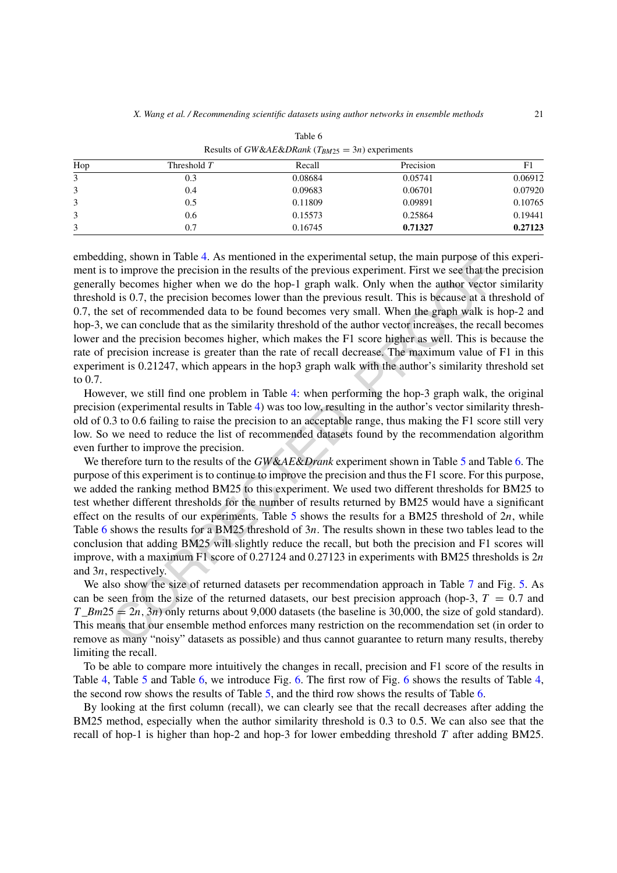|     |             | Results of $\sigma$ is explored to $\mu_{BMZ2} = \sigma_{H}$ experiments |           |         |  |  |
|-----|-------------|--------------------------------------------------------------------------|-----------|---------|--|--|
| Hop | Threshold T | Recall                                                                   | Precision | F1      |  |  |
| 3   | 0.3         | 0.08684                                                                  | 0.05741   | 0.06912 |  |  |
| 3   | 0.4         | 0.09683                                                                  | 0.06701   | 0.07920 |  |  |
| 3   | 0.5         | 0.11809                                                                  | 0.09891   | 0.10765 |  |  |
| 3   | 0.6         | 0.15573                                                                  | 0.25864   | 0.19441 |  |  |
| 3   | 0.7         | 0.16745                                                                  | 0.71327   | 0.27123 |  |  |

<span id="page-20-0"></span>Table 6 Results of *GW&AE&DRank* ( $T_{BMS} = 3n$ ) experiments

ing, shown in Table 4. As mentioned in the experimental setup, the main purpose of the previous cypriment. First we see that the y becomes higher when we do the hop-1 graph walk. Only when the author vector is ybecomes hi embedding, shown in Table [4.](#page-19-1) As mentioned in the experimental setup, the main purpose of this experiment is to improve the precision in the results of the previous experiment. First we see that the precision generally becomes higher when we do the hop-1 graph walk. Only when the author vector similarity threshold is 0.7, the precision becomes lower than the previous result. This is because at a threshold of 0.7, the set of recommended data to be found becomes very small. When the graph walk is hop-2 and hop-3, we can conclude that as the similarity threshold of the author vector increases, the recall becomes lower and the precision becomes higher, which makes the F1 score higher as well. This is because the rate of precision increase is greater than the rate of recall decrease. The maximum value of F1 in this experiment is 0.21247, which appears in the hop3 graph walk with the author's similarity threshold set to 0.7.

However, we still find one problem in Table 4: when performing the hop-3 graph walk, the original precision (experimental results in Table 4) was too low, resulting in the author's vector similarity threshold of 0.3 to 0.6 failing to raise the precision to an acceptable range, thus making the F1 score still very low. So we need to reduce the list of recommended datasets found by the recommendation algorithm even further to improve the precision.

We therefore turn to the results of the *GW*&*AE*&*Drank* experiment shown in Table 5 and Table [6](#page-20-0). The purpose of this experiment is to continue to improve the precision and thus the F1 score. For this purpose, we added the ranking method BM25 to this experiment. We used two different thresholds for BM25 to test whether different thresholds for the number of results returned by BM25 would have a significant effect on the results of our experiments. Table 5 shows the results for a BM25 threshold of 2*n*, while Table [6](#page-20-0) shows the results for a BM25 threshold of 3*n*. The results shown in these two tables lead to the conclusion that adding BM25 will slightly reduce the recall, but both the precision and F1 scores will improve, with a maximum F1 score of 0.27124 and 0.27123 in experiments with BM25 thresholds is 2*n* and 3*n*, respectively.

We also show the size of returned datasets per recommendation approach in Table 7 and Fig. [5](#page-21-1). As can be seen from the size of the returned datasets, our best precision approach (hop-3,  $T = 0.7$  and  $T\_Bm25 = 2n, 3n$ ) only returns about 9,000 datasets (the baseline is 30,000, the size of gold standard). This means that our ensemble method enforces many restriction on the recommendation set (in order to remove as many "noisy" datasets as possible) and thus cannot guarantee to return many results, thereby limiting the recall.

To be able to compare more intuitively the changes in recall, precision and F1 score of the results in Table [4,](#page-19-1) Table [5](#page-19-2) and Table [6](#page-20-0), we introduce Fig. [6.](#page-22-0) The first row of Fig. [6](#page-22-0) shows the results of Table [4,](#page-19-1) the second row shows the results of Table [5](#page-19-2), and the third row shows the results of Table [6.](#page-20-0)

By looking at the first column (recall), we can clearly see that the recall decreases after adding the BM25 method, especially when the author similarity threshold is 0.3 to 0.5. We can also see that the recall of hop-1 is higher than hop-2 and hop-3 for lower embedding threshold *T* after adding BM25.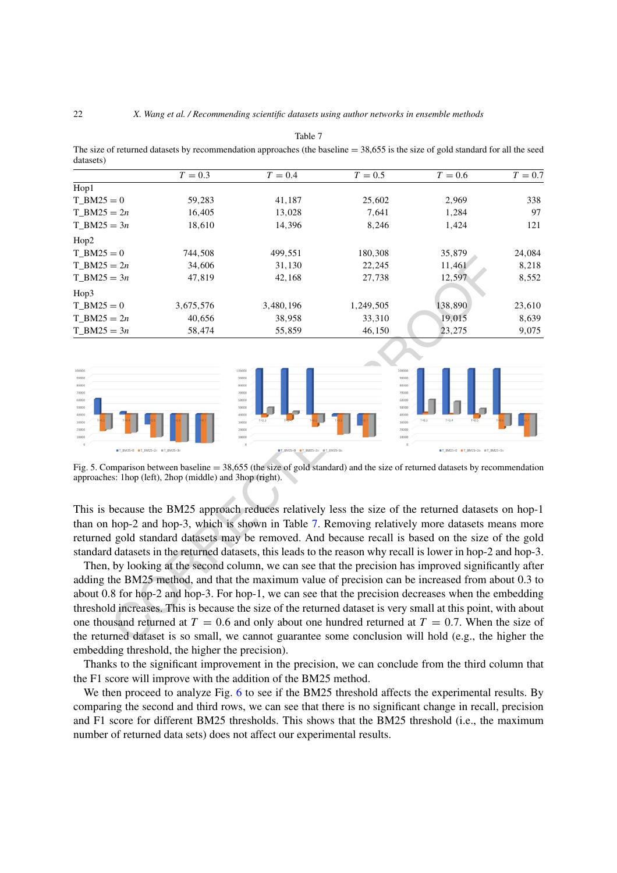<span id="page-21-0"></span>

| uaiascis <i>r</i>                                                                                                                                                                                        |           |                                                                                                                                                                                                                                                                                                                                                                                                                                                                                                                                                                                                                                                                                                                                                                       |                                                                                         |                                 |           |  |  |
|----------------------------------------------------------------------------------------------------------------------------------------------------------------------------------------------------------|-----------|-----------------------------------------------------------------------------------------------------------------------------------------------------------------------------------------------------------------------------------------------------------------------------------------------------------------------------------------------------------------------------------------------------------------------------------------------------------------------------------------------------------------------------------------------------------------------------------------------------------------------------------------------------------------------------------------------------------------------------------------------------------------------|-----------------------------------------------------------------------------------------|---------------------------------|-----------|--|--|
|                                                                                                                                                                                                          | $T = 0.3$ | $T = 0.4$                                                                                                                                                                                                                                                                                                                                                                                                                                                                                                                                                                                                                                                                                                                                                             | $T = 0.5$                                                                               | $T = 0.6$                       | $T = 0.7$ |  |  |
| Hop1                                                                                                                                                                                                     |           |                                                                                                                                                                                                                                                                                                                                                                                                                                                                                                                                                                                                                                                                                                                                                                       |                                                                                         |                                 |           |  |  |
| $T_BM25=0$                                                                                                                                                                                               | 59,283    | 41,187                                                                                                                                                                                                                                                                                                                                                                                                                                                                                                                                                                                                                                                                                                                                                                | 25,602                                                                                  | 2,969                           | 338       |  |  |
| $T_BM25 = 2n$                                                                                                                                                                                            | 16,405    | 13,028                                                                                                                                                                                                                                                                                                                                                                                                                                                                                                                                                                                                                                                                                                                                                                | 7,641                                                                                   | 1,284                           | 97        |  |  |
| $T_BM25 = 3n$                                                                                                                                                                                            | 18,610    | 14,396                                                                                                                                                                                                                                                                                                                                                                                                                                                                                                                                                                                                                                                                                                                                                                | 8,246                                                                                   | 1,424                           | 121       |  |  |
| Hop2                                                                                                                                                                                                     |           |                                                                                                                                                                                                                                                                                                                                                                                                                                                                                                                                                                                                                                                                                                                                                                       |                                                                                         |                                 |           |  |  |
| $T_BM25=0$                                                                                                                                                                                               | 744,508   | 499,551                                                                                                                                                                                                                                                                                                                                                                                                                                                                                                                                                                                                                                                                                                                                                               | 180,308                                                                                 | 35,879                          | 24,084    |  |  |
| $T_BM25 = 2n$                                                                                                                                                                                            | 34,606    | 31,130                                                                                                                                                                                                                                                                                                                                                                                                                                                                                                                                                                                                                                                                                                                                                                | 22,245                                                                                  | 11,461                          | 8,218     |  |  |
| $T_BM25 = 3n$                                                                                                                                                                                            | 47,819    | 42,168                                                                                                                                                                                                                                                                                                                                                                                                                                                                                                                                                                                                                                                                                                                                                                | 27,738                                                                                  | 12,597                          | 8,552     |  |  |
| Hop3                                                                                                                                                                                                     |           |                                                                                                                                                                                                                                                                                                                                                                                                                                                                                                                                                                                                                                                                                                                                                                       |                                                                                         |                                 |           |  |  |
| $T_BM25=0$                                                                                                                                                                                               | 3,675,576 | 3,480,196                                                                                                                                                                                                                                                                                                                                                                                                                                                                                                                                                                                                                                                                                                                                                             | 1,249,505                                                                               | 138,890                         | 23,610    |  |  |
| $T_BM25 = 2n$                                                                                                                                                                                            | 40,656    | 38,958                                                                                                                                                                                                                                                                                                                                                                                                                                                                                                                                                                                                                                                                                                                                                                | 33,310                                                                                  | 19,015                          | 8,639     |  |  |
| $T_BM25 = 3n$                                                                                                                                                                                            | 58,474    | 55,859                                                                                                                                                                                                                                                                                                                                                                                                                                                                                                                                                                                                                                                                                                                                                                | 46,150                                                                                  | 23,275                          | 9,075     |  |  |
| 100000<br>90000<br>80000<br>70000<br>60000<br>50000<br>40000<br>30000<br>20000<br>10000<br>■T_BM25+0 ■T_BM25+2n ■T_BM25+3n                                                                               |           | 100000<br>90000<br>80000<br>70000<br>60000<br>50000<br>40000<br>30000<br>20000<br>10000<br>■T_BM25+0 ■T_BM25+2n ■T_BM25+3n<br>Fig. 5. Comparison between baseline $=$ 38,655 (the size of gold standard) and the size of returned datasets by recommendation                                                                                                                                                                                                                                                                                                                                                                                                                                                                                                          | 100000<br>90000<br>80000<br>70000<br>60000<br>50000<br>40000<br>30000<br>20000<br>10000 | ■T_BM25+0 ■T_BM25+2n ■T_BM25+3n |           |  |  |
| approaches: 1hop (left), 2hop (middle) and 3hop (right).                                                                                                                                                 |           |                                                                                                                                                                                                                                                                                                                                                                                                                                                                                                                                                                                                                                                                                                                                                                       |                                                                                         |                                 |           |  |  |
| This is because the BM25 approach reduces relatively less the size of the returned datasets on hop-1<br>than on hop-2 and hop-3, which is shown in Table 7. Removing relatively more datasets means more |           |                                                                                                                                                                                                                                                                                                                                                                                                                                                                                                                                                                                                                                                                                                                                                                       |                                                                                         |                                 |           |  |  |
|                                                                                                                                                                                                          |           | returned gold standard datasets may be removed. And because recall is based on the size of the gold<br>standard datasets in the returned datasets, this leads to the reason why recall is lower in hop-2 and hop-3.<br>Then, by looking at the second column, we can see that the precision has improved significantly after<br>adding the BM25 method, and that the maximum value of precision can be increased from about 0.3 to<br>about 0.8 for hop-2 and hop-3. For hop-1, we can see that the precision decreases when the embedding<br>threshold increases. This is because the size of the returned dataset is very small at this point, with about<br>one thousand returned at $T = 0.6$ and only about one hundred returned at $T = 0.7$ . When the size of |                                                                                         |                                 |           |  |  |
| the returned dataset is so small, we cannot guarantee some conclusion will hold (e.g., the higher the                                                                                                    |           |                                                                                                                                                                                                                                                                                                                                                                                                                                                                                                                                                                                                                                                                                                                                                                       |                                                                                         |                                 |           |  |  |

Table 7 The size of returned datasets by recommendation approaches (the baseline  $= 38,655$  is the size of gold standard for all the seed datasets)

<span id="page-21-1"></span>Fig. 5. Comparison between baseline = 38,655 (the size of gold standard) and the size of returned datasets by recommendation approaches: 1hop (left), 2hop (middle) and 3hop (right).

Then, by looking at the second column, we can see that the precision has improved significantly after adding the BM25 method, and that the maximum value of precision can be increased from about 0.3 to about 0.8 for hop-2 and hop-3. For hop-1, we can see that the precision decreases when the embedding threshold increases. This is because the size of the returned dataset is very small at this point, with about one thousand returned at  $T = 0.6$  and only about one hundred returned at  $T = 0.7$ . When the size of the returned dataset is so small, we cannot guarantee some conclusion will hold (e.g., the higher the embedding threshold, the higher the precision).

Thanks to the significant improvement in the precision, we can conclude from the third column that the F1 score will improve with the addition of the BM25 method.

We then proceed to analyze Fig. [6](#page-22-0) to see if the BM25 threshold affects the experimental results. By comparing the second and third rows, we can see that there is no significant change in recall, precision and F1 score for different BM25 thresholds. This shows that the BM25 threshold (i.e., the maximum number of returned data sets) does not affect our experimental results.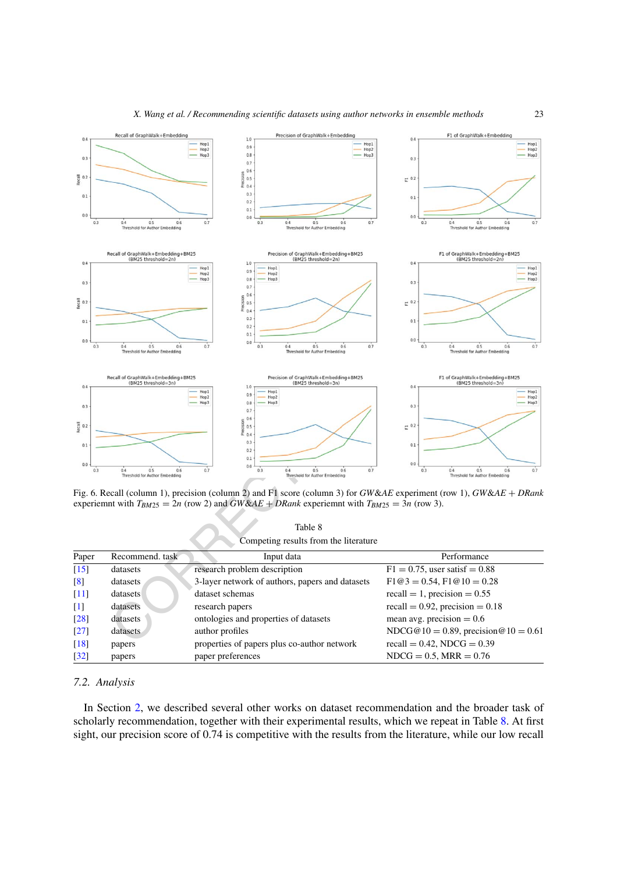

<span id="page-22-0"></span>Fig. 6. Recall (column 1), precision (column 2) and F1 score (column 3) for *GW*&*AE* experiment (row 1), *GW*&*AE* + *DRank* experiemnt with  $T_{BM25} = 2n$  (row 2) and  $GW\&AE + DRank$  experiemnt with  $T_{BM25} = 3n$  (row 3).

<span id="page-22-1"></span>Table 8 Competing results from the literature

| Paper                         | Recommend. task | Input data                                      | Performance                          |
|-------------------------------|-----------------|-------------------------------------------------|--------------------------------------|
| $[15]$                        | datasets        | research problem description                    | $F1 = 0.75$ , user satisf = 0.88     |
| $\lceil 8 \rceil$             | datasets        | 3-layer network of authors, papers and datasets | $F1@3 = 0.54$ , $F1@10 = 0.28$       |
| $\lceil 11 \rceil$            | datasets        | dataset schemas                                 | recall = 1, precision = $0.55$       |
| $[1]$                         | datasets        | research papers                                 | recall = $0.92$ , precision = $0.18$ |
| $[28]$                        | datasets        | ontologies and properties of datasets           | mean avg. precision $= 0.6$          |
| $\left\lceil 27 \right\rceil$ | datasets        | author profiles                                 | NDCG@10 = 0.89, precision @10 = 0.61 |
| $[18]$                        | papers          | properties of papers plus co-author network     | recall = $0.42$ , NDCG = $0.39$      |
| $\lceil 32 \rceil$            | papers          | paper preferences                               | $NDCG = 0.5$ , $MRR = 0.76$          |

#### *7.2. Analysis*

In Section [2,](#page-1-0) we described several other works on dataset recommendation and the broader task of scholarly recommendation, together with their experimental results, which we repeat in Table [8](#page-22-1). At first sight, our precision score of 0.74 is competitive with the results from the literature, while our low recall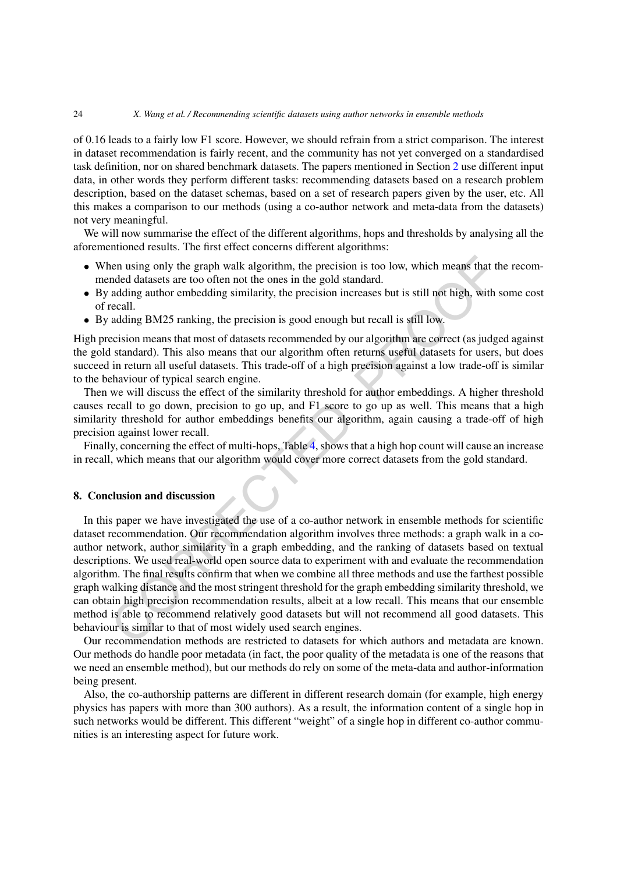#### 24 *X. Wang et al. / Recommending scientific datasets using author networks in ensemble methods*

of 0.16 leads to a fairly low F1 score. However, we should refrain from a strict comparison. The interest in dataset recommendation is fairly recent, and the community has not yet converged on a standardised task definition, nor on shared benchmark datasets. The papers mentioned in Section [2](#page-1-0) use different input data, in other words they perform different tasks: recommending datasets based on a research problem description, based on the dataset schemas, based on a set of research papers given by the user, etc. All this makes a comparison to our methods (using a co-author network and meta-data from the datasets) not very meaningful.

We will now summarise the effect of the different algorithms, hops and thresholds by analysing all the aforementioned results. The first effect concerns different algorithms:

- When using only the graph walk algorithm, the precision is too low, which means that the recommended datasets are too often not the ones in the gold standard.
- By adding author embedding similarity, the precision increases but is still not high, with some cost of recall.
- By adding BM25 ranking, the precision is good enough but recall is still low.

High precision means that most of datasets recommended by our algorithm are correct (as judged against the gold standard). This also means that our algorithm often returns useful datasets for users, but does succeed in return all useful datasets. This trade-off of a high precision against a low trade-off is similar to the behaviour of typical search engine.

Then we will discuss the effect of the similarity threshold for author embeddings. A higher threshold causes recall to go down, precision to go up, and F1 score to go up as well. This means that a high similarity threshold for author embeddings benefits our algorithm, again causing a trade-off of high precision against lower recall.

Finally, concerning the effect of multi-hops, Table 4, shows that a high hop count will cause an increase in recall, which means that our algorithm would cover more correct datasets from the gold standard.

#### **8. Conclusion and discussion**

nen using only the graph walk algorithm, the precision is too low, which means that the adding author embedding similarity, the precision increases but is still not high, with adding author embedding similarity, the precis In this paper we have investigated the use of a co-author network in ensemble methods for scientific dataset recommendation. Our recommendation algorithm involves three methods: a graph walk in a coauthor network, author similarity in a graph embedding, and the ranking of datasets based on textual descriptions. We used real-world open source data to experiment with and evaluate the recommendation algorithm. The final results confirm that when we combine all three methods and use the farthest possible graph walking distance and the moststringent threshold for the graph embedding similarity threshold, we can obtain high precision recommendation results, albeit at a low recall. This means that our ensemble method is able to recommend relatively good datasets but will not recommend all good datasets. This behaviour is similar to that of most widely used search engines.

Our recommendation methods are restricted to datasets for which authors and metadata are known. Our methods do handle poor metadata (in fact, the poor quality of the metadata is one of the reasons that we need an ensemble method), but our methods do rely on some of the meta-data and author-information being present.

Also, the co-authorship patterns are different in different research domain (for example, high energy physics has papers with more than 300 authors). As a result, the information content of a single hop in such networks would be different. This different "weight" of a single hop in different co-author communities is an interesting aspect for future work.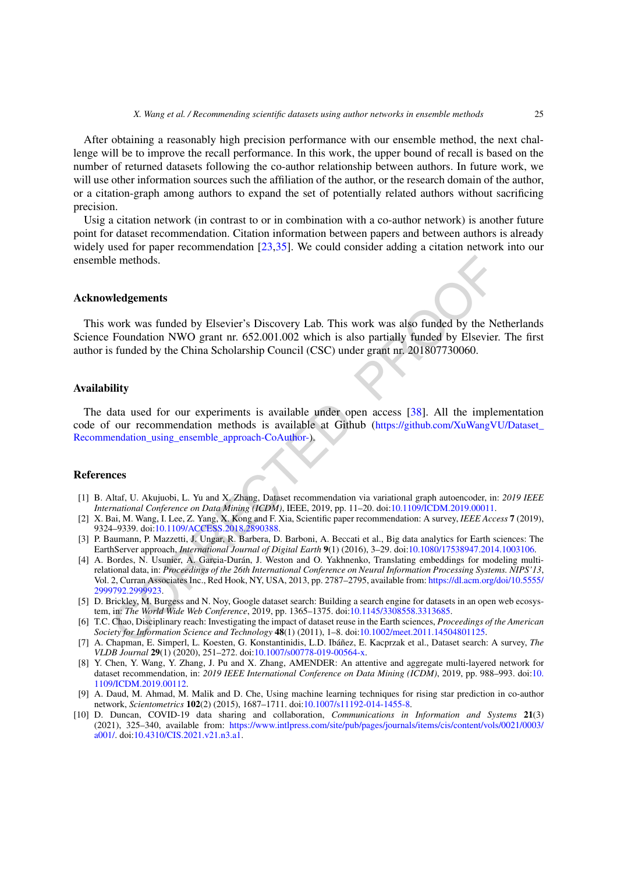After obtaining a reasonably high precision performance with our ensemble method, the next challenge will be to improve the recall performance. In this work, the upper bound of recall is based on the number of returned datasets following the co-author relationship between authors. In future work, we will use other information sources such the affiliation of the author, or the research domain of the author, or a citation-graph among authors to expand the set of potentially related authors without sacrificing precision.

Usig a citation network (in contrast to or in combination with a co-author network) is another future point for dataset recommendation. Citation information between papers and between authors is already widely used for paper recommendation [\[23](#page-25-19),[35\]](#page-26-11). We could consider adding a citation network into our ensemble methods.

#### **Acknowledgements**

This work was funded by Elsevier's Discovery Lab. This work was also funded by the Netherlands Science Foundation NWO grant nr. 652.001.002 which is also partially funded by Elsevier. The first author is funded by the China Scholarship Council (CSC) under grant nr. 201807730060.

#### **Availability**

The data used for our experiments is available under open access [38]. All the implementation code of our recommendation methods is available at Github [\(https://github.com/XuWangVU/Dataset\\_](https://github.com/XuWangVU/Dataset_Recommendation_using_ensemble_approach-CoAuthor-) Recommendation\_using\_ensemble\_approach-CoAuthor-).

#### **References**

- <span id="page-24-7"></span>[1] B. Altaf, U. Akujuobi, L. Yu and X. Zhang, Dataset recommendation via variational graph autoencoder, in: *2019 IEEE International Conference on Data Mining (ICDM)*, IEEE, 2019, pp. 11–20. doi:10.1109/ICDM.2019.00011.
- <span id="page-24-4"></span>[2] X. Bai, M. Wang, I. Lee, Z. Yang, X. Kong and F. Xia, Scientific paper recommendation: A survey, *IEEE Access* **7** (2019), 9324–9339. doi:10.1109/ACCESS.2018.2890388.
- <span id="page-24-9"></span><span id="page-24-0"></span>[3] P. Baumann, P. Mazzetti, J. Ungar, R. Barbera, D. Barboni, A. Beccati et al., Big data analytics for Earth sciences: The EarthServer approach, *International Journal of Digital Earth* **9**(1) (2016), 3–29. doi[:10.1080/17538947.2014.1003106](https://doi.org/10.1080/17538947.2014.1003106).
- le methods.<br> **voork** was funded by Elsevier's Discovery Lab. This work was also funded by the Ne<br>
Foundation NWO grant nr. 652.001.002 which is also partially funded by Elsevier.<br>
Foundation NWO grant nr. 652.001.002 whic [4] A. Bordes, N. Usunier, A. Garcia-Durán, J. Weston and O. Yakhnenko, Translating embeddings for modeling multirelational data, in: *Proceedings of the 26th International Conference on Neural Information Processing Systems. NIPS'13*, Vol. 2, Curran Associates Inc., Red Hook, NY, USA, 2013, pp. 2787–2795, available from: [https://dl.acm.org/doi/10.5555/](https://dl.acm.org/doi/10.5555/2999792.2999923) [2999792.2999923.](https://dl.acm.org/doi/10.5555/2999792.2999923)
- <span id="page-24-3"></span>[5] D. Brickley, M. Burgess and N. Noy, Google dataset search: Building a search engine for datasets in an open web ecosystem, in: *The World Wide Web Conference*, 2019, pp. 1365–1375. doi:10.1145/3308558.3313685.
- <span id="page-24-1"></span>[6] T.C. Chao, Disciplinary reach: Investigating the impact of dataset reuse in the Earth sciences, *Proceedings of the American Society for Information Science and Technology* **48**(1) (2011), 1–8. doi:10.1002/meet.2011.14504801125.
- <span id="page-24-8"></span>[7] A. Chapman, E. Simperl, L. Koesten, G. Konstantinidis, L.D. Ibáñez, E. Kacprzak et al., Dataset search: A survey, *The VLDB Journal* **29**(1) (2020), 251–272. doi[:10.1007/s00778-019-00564-x](https://doi.org/10.1007/s00778-019-00564-x).
- <span id="page-24-6"></span>[8] Y. Chen, Y. Wang, Y. Zhang, J. Pu and X. Zhang, AMENDER: An attentive and aggregate multi-layered network for dataset recommendation, in: *2019 IEEE International Conference on Data Mining (ICDM)*, 2019, pp. 988–993. doi[:10.](https://doi.org/10.1109/ICDM.2019.00112) [1109/ICDM.2019.00112](https://doi.org/10.1109/ICDM.2019.00112).
- <span id="page-24-5"></span>[9] A. Daud, M. Ahmad, M. Malik and D. Che, Using machine learning techniques for rising star prediction in co-author network, *Scientometrics* **102**(2) (2015), 1687–1711. doi:[10.1007/s11192-014-1455-8](https://doi.org/10.1007/s11192-014-1455-8).
- <span id="page-24-2"></span>[10] D. Duncan, COVID-19 data sharing and collaboration, *Communications in Information and Systems* **21**(3) (2021), 325–340, available from: [https://www.intlpress.com/site/pub/pages/journals/items/cis/content/vols/0021/0003/](https://www.intlpress.com/site/pub/pages/journals/items/cis/content/vols/0021/0003/a001/) [a001/.](https://www.intlpress.com/site/pub/pages/journals/items/cis/content/vols/0021/0003/a001/) doi[:10.4310/CIS.2021.v21.n3.a1.](https://doi.org/10.4310/CIS.2021.v21.n3.a1)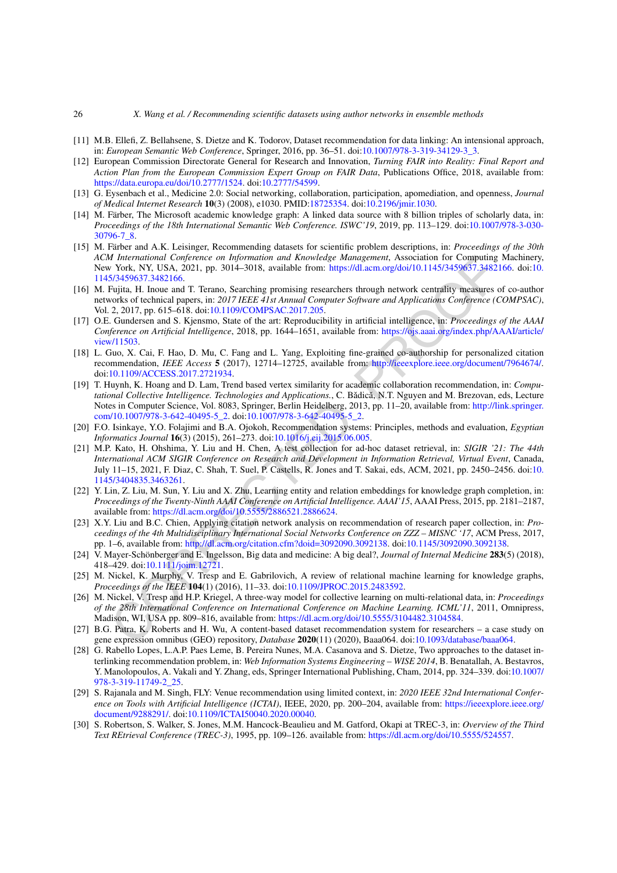#### 26 *X. Wang et al. / Recommending scientific datasets using author networks in ensemble methods*

- <span id="page-25-8"></span>[11] M.B. Ellefi, Z. Bellahsene, S. Dietze and K. Todorov, Dataset recommendation for data linking: An intensional approach, in: *European Semantic Web Conference*, Springer, 2016, pp. 36–51. doi[:10.1007/978-3-319-34129-3\\_3](https://doi.org/10.1007/978-3-319-34129-3_3).
- <span id="page-25-3"></span>[12] European Commission Directorate General for Research and Innovation, *Turning FAIR into Reality: Final Report and Action Plan from the European Commission Expert Group on FAIR Data*, Publications Office, 2018, available from: [https://data.europa.eu/doi/10.2777/1524.](https://data.europa.eu/doi/10.2777/1524) doi[:10.2777/54599](https://doi.org/10.2777/54599).
- <span id="page-25-0"></span>[13] G. Eysenbach et al., Medicine 2.0: Social networking, collaboration, participation, apomediation, and openness, *Journal of Medical Internet Research* **10**(3) (2008), e1030. PMID:[18725354.](https://www.ncbi.nlm.nih.gov/pubmed/18725354) doi[:10.2196/jmir.1030](https://doi.org/10.2196/jmir.1030).
- <span id="page-25-5"></span>[14] M. Färber, The Microsoft academic knowledge graph: A linked data source with 8 billion triples of scholarly data, in: *Proceedings of the 18th International Semantic Web Conference. ISWC'19*, 2019, pp. 113–129. doi[:10.1007/978-3-030-](https://doi.org/10.1007/978-3-030-30796-7_8) [30796-7\\_8.](https://doi.org/10.1007/978-3-030-30796-7_8)
- <span id="page-25-7"></span>[15] M. Färber and A.K. Leisinger, Recommending datasets for scientific problem descriptions, in: *Proceedings of the 30th ACM International Conference on Information and Knowledge Management*, Association for Computing Machinery, New York, NY, USA, 2021, pp. 3014–3018, available from: https://dl.acm.org/doi/10.1145/3459637.3482166. doi[:10.](https://doi.org/10.1145/3459637.3482166) 1145/3459637.3482166.
- <span id="page-25-6"></span>[16] M. Fujita, H. Inoue and T. Terano, Searching promising researchers through network centrality measures of co-author networks of technical papers, in: *2017 IEEE 41st Annual Computer Software and Applications Conference (COMPSAC)*, Vol. 2, 2017, pp. 615–618. doi:10.1109/COMPSAC.2017.205.
- <span id="page-25-2"></span>[17] O.E. Gundersen and S. Kjensmo, State of the art: Reproducibility in artificial intelligence, in: *Proceedings of the AAAI Conference on Artificial Intelligence*, 2018, pp. 1644–1651, available from: [https://ojs.aaai.org/index.php/AAAI/article/](https://ojs.aaai.org/index.php/AAAI/article/view/11503) [view/11503.](https://ojs.aaai.org/index.php/AAAI/article/view/11503)
- <span id="page-25-13"></span><span id="page-25-11"></span>[18] L. Guo, X. Cai, F. Hao, D. Mu, C. Fang and L. Yang, Exploiting fine-grained co-authorship for personalized citation recommendation, *IEEE Access* **5** (2017), 12714–12725, available from: <http://ieeexplore.ieee.org/document/7964674/>. doi:10.1109/ACCESS.2017.2721934.
- *I*International Conjerence on Information and Knowledge Management, Association for Computing<br>
International Correlation Systam Correlation and Knowledge Management, Association for Computing<br>
York, NY, USA, 2021, pp. 3 [19] T. Huynh, K. Hoang and D. Lam, Trend based vertex similarity for academic collaboration recommendation, in: *Computational Collective Intelligence. Technologies and Applications., C. Bădică, N.T. Nguyen and M. Brezovan, eds, Lecture* Notes in Computer Science, Vol. 8083, Springer, Berlin Heidelberg, 2013, pp. 11–20, available from: [http://link.springer.](http://link.springer.com/10.1007/978-3-642-40495-5_2) [com/10.1007/978-3-642-40495-5\\_2.](http://link.springer.com/10.1007/978-3-642-40495-5_2) doi:10.1007/978-3-642-40495-5\_2.
- <span id="page-25-4"></span>[20] F.O. Isinkaye, Y.O. Folajimi and B.A. Ojokoh, Recommendation systems: Principles, methods and evaluation, *Egyptian Informatics Journal* **16**(3) (2015), 261–273. doi:10.1016/j.eij.2015.06.005.
- <span id="page-25-14"></span>[21] M.P. Kato, H. Ohshima, Y. Liu and H. Chen, A test collection for ad-hoc dataset retrieval, in: *SIGIR '21: The 44th International ACM SIGIR Conference on Research and Development in Information Retrieval, Virtual Event*, Canada, July 11–15, 2021, F. Diaz, C. Shah, T. Suel, P. Castells, R. Jones and T. Sakai, eds, ACM, 2021, pp. 2450–2456. doi[:10.](https://doi.org/10.1145/3404835.3463261) [1145/3404835.3463261](https://doi.org/10.1145/3404835.3463261).
- <span id="page-25-16"></span>[22] Y. Lin, Z. Liu, M. Sun, Y. Liu and X. Zhu, Learning entity and relation embeddings for knowledge graph completion, in: *Proceedings of the Twenty-Ninth AAAI Conference on Artificial Intelligence. AAAI'15*, AAAI Press, 2015, pp. 2181–2187, available from: https://dl.acm.org/doi/10.5555/2886521.2886624.
- <span id="page-25-19"></span>[23] X.Y. Liu and B.C. Chien, Applying citation network analysis on recommendation of research paper collection, in: *Proceedings of the 4th Multidisciplinary International Social Networks Conference on ZZZ – MISNC '17*, ACM Press, 2017, pp. 1–6, available from: http://dl.acm.org/citation.cfm?doid=3092090.3092138. doi:10.1145/3092090.3092138.
- <span id="page-25-1"></span>[24] V. Mayer-Schönberger and E. Ingelsson, Big data and medicine: A big deal?, *Journal of Internal Medicine* **283**(5) (2018), 418–429. doi:10.1111/joim.12721.
- <span id="page-25-17"></span>[25] M. Nickel, K. Murphy, V. Tresp and E. Gabrilovich, A review of relational machine learning for knowledge graphs, *Proceedings of the IEEE* **104**(1) (2016), 11–33. doi:10.1109/JPROC.2015.2483592.
- <span id="page-25-15"></span>[26] M. Nickel, V. Tresp and H.P. Kriegel, A three-way model for collective learning on multi-relational data, in: *Proceedings of the 28th International Conference on International Conference on Machine Learning. ICML'11*, 2011, Omnipress, Madison, WI, USA pp. 809–816, available from: https://dl.acm.org/doi/10.5555/3104482.3104584.
- <span id="page-25-10"></span>[27] B.G. Patra, K. Roberts and H. Wu, A content-based dataset recommendation system for researchers – a case study on gene expression omnibus (GEO) repository, *Database* **2020**(11) (2020), Baaa064. doi:10.1093/database/baaa064.
- <span id="page-25-9"></span>[28] G. Rabello Lopes, L.A.P. Paes Leme, B. Pereira Nunes, M.A. Casanova and S. Dietze, Two approaches to the dataset interlinking recommendation problem, in: *Web Information Systems Engineering – WISE 2014*, B. Benatallah, A. Bestavros, Y. Manolopoulos, A. Vakali and Y. Zhang, eds, Springer International Publishing, Cham, 2014, pp. 324–339. doi:[10.1007/](https://doi.org/10.1007/978-3-319-11749-2_25) [978-3-319-11749-2\\_25](https://doi.org/10.1007/978-3-319-11749-2_25).
- <span id="page-25-12"></span>[29] S. Rajanala and M. Singh, FLY: Venue recommendation using limited context, in: *2020 IEEE 32nd International Conference on Tools with Artificial Intelligence (ICTAI)*, IEEE, 2020, pp. 200–204, available from: [https://ieeexplore.ieee.org/](https://ieeexplore.ieee.org/document/9288291/) [document/9288291/](https://ieeexplore.ieee.org/document/9288291/). doi[:10.1109/ICTAI50040.2020.00040.](https://doi.org/10.1109/ICTAI50040.2020.00040)
- <span id="page-25-18"></span>[30] S. Robertson, S. Walker, S. Jones, M.M. Hancock-Beaulieu and M. Gatford, Okapi at TREC-3, in: *Overview of the Third Text REtrieval Conference (TREC-3)*, 1995, pp. 109–126. available from: <https://dl.acm.org/doi/10.5555/524557>.